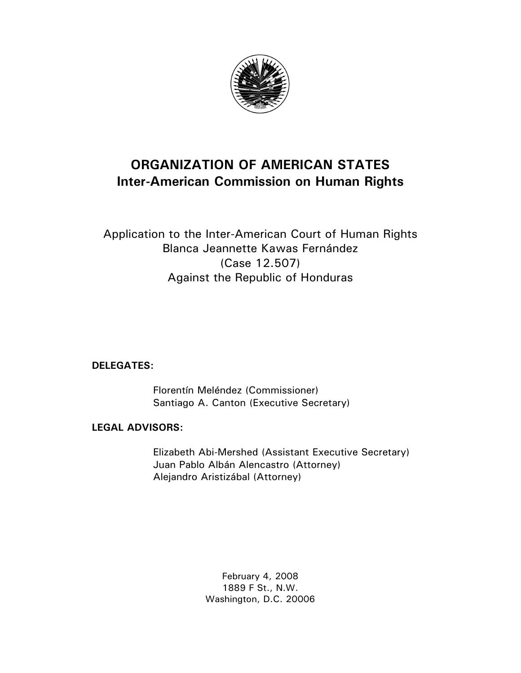

# **ORGANIZATION OF AMERICAN STATES Inter-American Commission on Human Rights**

# Application to the Inter-American Court of Human Rights Blanca Jeannette Kawas Fernández (Case 12.507) Against the Republic of Honduras

# **DELEGATES:**

 Florentín Meléndez (Commissioner) Santiago A. Canton (Executive Secretary)

# **LEGAL ADVISORS:**

 Elizabeth Abi-Mershed (Assistant Executive Secretary) Juan Pablo Albán Alencastro (Attorney) Alejandro Aristizábal (Attorney)

> February 4, 2008 1889 F St., N.W. Washington, D.C. 20006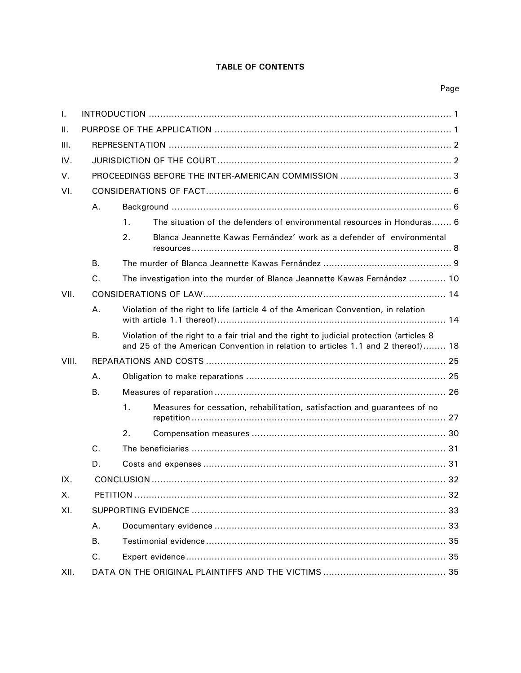# **TABLE OF CONTENTS**

# Page

| Τ.    |    |                                                                                                                                                                            |                                                                           |  |  |
|-------|----|----------------------------------------------------------------------------------------------------------------------------------------------------------------------------|---------------------------------------------------------------------------|--|--|
| Ш.    |    |                                                                                                                                                                            |                                                                           |  |  |
| Ш.    |    |                                                                                                                                                                            |                                                                           |  |  |
| IV.   |    |                                                                                                                                                                            |                                                                           |  |  |
| V.    |    |                                                                                                                                                                            |                                                                           |  |  |
| VI.   |    |                                                                                                                                                                            |                                                                           |  |  |
|       | Α. |                                                                                                                                                                            |                                                                           |  |  |
|       |    | $\mathbf{1}$ .                                                                                                                                                             | The situation of the defenders of environmental resources in Honduras 6   |  |  |
|       |    | 2.                                                                                                                                                                         | Blanca Jeannette Kawas Fernández' work as a defender of environmental     |  |  |
|       | В. |                                                                                                                                                                            |                                                                           |  |  |
|       | C. | The investigation into the murder of Blanca Jeannette Kawas Fernández  10                                                                                                  |                                                                           |  |  |
| VII.  |    |                                                                                                                                                                            |                                                                           |  |  |
|       | Α. | Violation of the right to life (article 4 of the American Convention, in relation                                                                                          |                                                                           |  |  |
|       | В. | Violation of the right to a fair trial and the right to judicial protection (articles 8<br>and 25 of the American Convention in relation to articles 1.1 and 2 thereof) 18 |                                                                           |  |  |
| VIII. |    |                                                                                                                                                                            |                                                                           |  |  |
|       | А. |                                                                                                                                                                            |                                                                           |  |  |
|       | В. |                                                                                                                                                                            |                                                                           |  |  |
|       |    | $\mathbf{1}$ .                                                                                                                                                             | Measures for cessation, rehabilitation, satisfaction and guarantees of no |  |  |
|       |    | 2.                                                                                                                                                                         |                                                                           |  |  |
|       | C. |                                                                                                                                                                            |                                                                           |  |  |
|       | D. |                                                                                                                                                                            |                                                                           |  |  |
| IX.   |    |                                                                                                                                                                            |                                                                           |  |  |
| Х.    |    |                                                                                                                                                                            |                                                                           |  |  |
| XI.   |    |                                                                                                                                                                            |                                                                           |  |  |
|       | Α. |                                                                                                                                                                            |                                                                           |  |  |
|       | Β. |                                                                                                                                                                            |                                                                           |  |  |
|       | C. |                                                                                                                                                                            |                                                                           |  |  |
| XII.  |    |                                                                                                                                                                            |                                                                           |  |  |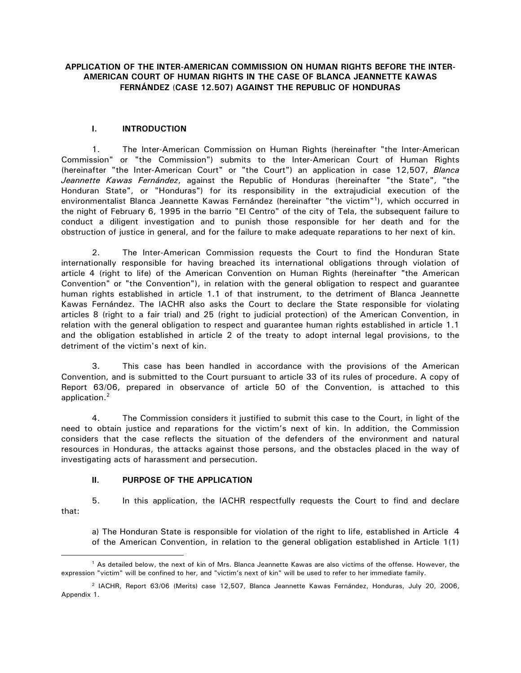# **APPLICATION OF THE INTER-AMERICAN COMMISSION ON HUMAN RIGHTS BEFORE THE INTER-AMERICAN COURT OF HUMAN RIGHTS IN THE CASE OF BLANCA JEANNETTE KAWAS FERNÁNDEZ** (**CASE 12.507) AGAINST THE REPUBLIC OF HONDURAS**

# **I. INTRODUCTION**

1. The Inter-American Commission on Human Rights (hereinafter "the Inter-American Commission" or "the Commission") submits to the Inter-American Court of Human Rights (hereinafter "the Inter-American Court" or "the Court") an application in case 12,507, *Blanca Jeannette Kawas Fernández*, against the Republic of Honduras (hereinafter "the State", "the Honduran State", or "Honduras") for its responsibility in the extrajudicial execution of the environmentalist Blanca Jeannette Kawas Fernández (hereinafter "the victim"<sup>1</sup>), which occurred in the night of February 6, 1995 in the barrio "El Centro" of the city of Tela, the subsequent failure to conduct a diligent investigation and to punish those responsible for her death and for the obstruction of justice in general, and for the failure to make adequate reparations to her next of kin.

2. The Inter-American Commission requests the Court to find the Honduran State internationally responsible for having breached its international obligations through violation of article 4 (right to life) of the American Convention on Human Rights (hereinafter "the American Convention" or "the Convention"), in relation with the general obligation to respect and guarantee human rights established in article 1.1 of that instrument, to the detriment of Blanca Jeannette Kawas Fernández. The IACHR also asks the Court to declare the State responsible for violating articles 8 (right to a fair trial) and 25 (right to judicial protection) of the American Convention, in relation with the general obligation to respect and guarantee human rights established in article 1.1 and the obligation established in article 2 of the treaty to adopt internal legal provisions, to the detriment of the victim's next of kin.

3. This case has been handled in accordance with the provisions of the American Convention, and is submitted to the Court pursuant to article 33 of its rules of procedure. A copy of Report 63/06, prepared in observance of article 50 of the Convention, is attached to this application.<sup>2</sup>

4. The Commission considers it justified to submit this case to the Court, in light of the need to obtain justice and reparations for the victim's next of kin. In addition, the Commission considers that the case reflects the situation of the defenders of the environment and natural resources in Honduras, the attacks against those persons, and the obstacles placed in the way of investigating acts of harassment and persecution.

# **II. PURPOSE OF THE APPLICATION**

 $\overline{a}$ 

5. In this application, the IACHR respectfully requests the Court to find and declare that:

a) The Honduran State is responsible for violation of the right to life, established in Article 4 of the American Convention, in relation to the general obligation established in Article 1(1)

<sup>1</sup> As detailed below, the next of kin of Mrs. Blanca Jeannette Kawas are also victims of the offense. However, the expression "victim" will be confined to her, and "victim's next of kin" will be used to refer to her immediate family.

<sup>2</sup> IACHR, Report 63/06 (Merits) case 12,507, Blanca Jeannette Kawas Fernández, Honduras, July 20, 2006, Appendix 1.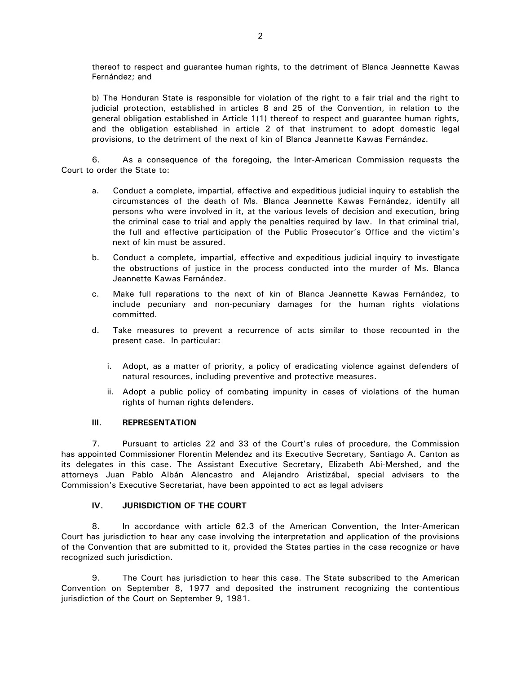thereof to respect and guarantee human rights, to the detriment of Blanca Jeannette Kawas Fernández; and

b) The Honduran State is responsible for violation of the right to a fair trial and the right to judicial protection, established in articles 8 and 25 of the Convention, in relation to the general obligation established in Article 1(1) thereof to respect and guarantee human rights, and the obligation established in article 2 of that instrument to adopt domestic legal provisions, to the detriment of the next of kin of Blanca Jeannette Kawas Fernández.

6. As a consequence of the foregoing, the Inter-American Commission requests the Court to order the State to:

- a. Conduct a complete, impartial, effective and expeditious judicial inquiry to establish the circumstances of the death of Ms. Blanca Jeannette Kawas Fernández, identify all persons who were involved in it, at the various levels of decision and execution, bring the criminal case to trial and apply the penalties required by law. In that criminal trial, the full and effective participation of the Public Prosecutor's Office and the victim's next of kin must be assured.
- b. Conduct a complete, impartial, effective and expeditious judicial inquiry to investigate the obstructions of justice in the process conducted into the murder of Ms. Blanca Jeannette Kawas Fernández.
- c. Make full reparations to the next of kin of Blanca Jeannette Kawas Fernández, to include pecuniary and non-pecuniary damages for the human rights violations committed.
- d. Take measures to prevent a recurrence of acts similar to those recounted in the present case. In particular:
	- i. Adopt, as a matter of priority, a policy of eradicating violence against defenders of natural resources, including preventive and protective measures.
	- ii. Adopt a public policy of combating impunity in cases of violations of the human rights of human rights defenders.

# **III. REPRESENTATION**

7. Pursuant to articles 22 and 33 of the Court's rules of procedure, the Commission has appointed Commissioner Florentin Melendez and its Executive Secretary, Santiago A. Canton as its delegates in this case. The Assistant Executive Secretary, Elizabeth Abi-Mershed, and the attorneys Juan Pablo Albán Alencastro and Alejandro Aristizábal, special advisers to the Commission's Executive Secretariat, have been appointed to act as legal advisers

# **IV. JURISDICTION OF THE COURT**

8. In accordance with article 62.3 of the American Convention, the Inter-American Court has jurisdiction to hear any case involving the interpretation and application of the provisions of the Convention that are submitted to it, provided the States parties in the case recognize or have recognized such jurisdiction.

9. The Court has jurisdiction to hear this case. The State subscribed to the American Convention on September 8, 1977 and deposited the instrument recognizing the contentious jurisdiction of the Court on September 9, 1981.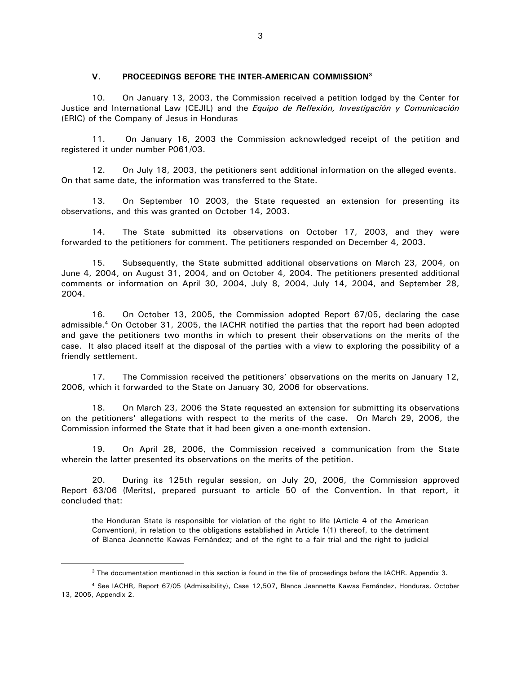#### **V. PROCEEDINGS BEFORE THE INTER-AMERICAN COMMISSION<sup>3</sup>**

10. On January 13, 2003, the Commission received a petition lodged by the Center for Justice and International Law (CEJIL) and the *Equipo de Reflexión, Investigación y Comunicación* (ERIC) of the Company of Jesus in Honduras

11. On January 16, 2003 the Commission acknowledged receipt of the petition and registered it under number P061/03.

12. On July 18, 2003, the petitioners sent additional information on the alleged events. On that same date, the information was transferred to the State.

13. On September 10 2003, the State requested an extension for presenting its observations, and this was granted on October 14, 2003.

14. The State submitted its observations on October 17, 2003, and they were forwarded to the petitioners for comment. The petitioners responded on December 4, 2003.

15. Subsequently, the State submitted additional observations on March 23, 2004, on June 4, 2004, on August 31, 2004, and on October 4, 2004. The petitioners presented additional comments or information on April 30, 2004, July 8, 2004, July 14, 2004, and September 28, 2004.

16. On October 13, 2005, the Commission adopted Report 67/05, declaring the case admissible.<sup>4</sup> On October 31, 2005, the IACHR notified the parties that the report had been adopted and gave the petitioners two months in which to present their observations on the merits of the case. It also placed itself at the disposal of the parties with a view to exploring the possibility of a friendly settlement.

17. The Commission received the petitioners' observations on the merits on January 12, 2006, which it forwarded to the State on January 30, 2006 for observations.

18. On March 23, 2006 the State requested an extension for submitting its observations on the petitioners' allegations with respect to the merits of the case. On March 29, 2006, the Commission informed the State that it had been given a one-month extension.

19. On April 28, 2006, the Commission received a communication from the State wherein the latter presented its observations on the merits of the petition.

20. During its 125th regular session, on July 20, 2006, the Commission approved Report 63/06 (Merits), prepared pursuant to article 50 of the Convention. In that report, it concluded that:

the Honduran State is responsible for violation of the right to life (Article 4 of the American Convention), in relation to the obligations established in Article 1(1) thereof, to the detriment of Blanca Jeannette Kawas Fernández; and of the right to a fair trial and the right to judicial

<sup>&</sup>lt;sup>3</sup> The documentation mentioned in this section is found in the file of proceedings before the IACHR. Appendix 3.

<sup>4</sup> See IACHR, Report 67/05 (Admissibility), Case 12,507, Blanca Jeannette Kawas Fernández, Honduras, October 13, 2005, Appendix 2.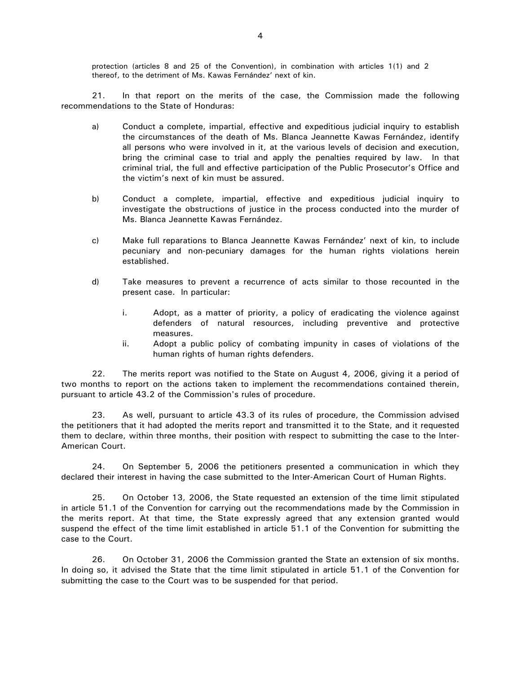protection (articles 8 and 25 of the Convention), in combination with articles 1(1) and 2 thereof, to the detriment of Ms. Kawas Fernández' next of kin.

 21. In that report on the merits of the case, the Commission made the following recommendations to the State of Honduras:

- a) Conduct a complete, impartial, effective and expeditious judicial inquiry to establish the circumstances of the death of Ms. Blanca Jeannette Kawas Fernández, identify all persons who were involved in it, at the various levels of decision and execution, bring the criminal case to trial and apply the penalties required by law. In that criminal trial, the full and effective participation of the Public Prosecutor's Office and the victim's next of kin must be assured.
- b) Conduct a complete, impartial, effective and expeditious judicial inquiry to investigate the obstructions of justice in the process conducted into the murder of Ms. Blanca Jeannette Kawas Fernández.
- c) Make full reparations to Blanca Jeannette Kawas Fernández' next of kin, to include pecuniary and non-pecuniary damages for the human rights violations herein established.
- d) Take measures to prevent a recurrence of acts similar to those recounted in the present case. In particular:
	- i. Adopt, as a matter of priority, a policy of eradicating the violence against defenders of natural resources, including preventive and protective measures.
	- ii. Adopt a public policy of combating impunity in cases of violations of the human rights of human rights defenders.

22. The merits report was notified to the State on August 4, 2006, giving it a period of two months to report on the actions taken to implement the recommendations contained therein, pursuant to article 43.2 of the Commission's rules of procedure.

23. As well, pursuant to article 43.3 of its rules of procedure, the Commission advised the petitioners that it had adopted the merits report and transmitted it to the State, and it requested them to declare, within three months, their position with respect to submitting the case to the Inter-American Court.

24. On September 5, 2006 the petitioners presented a communication in which they declared their interest in having the case submitted to the Inter-American Court of Human Rights.

25. On October 13, 2006, the State requested an extension of the time limit stipulated in article 51.1 of the Convention for carrying out the recommendations made by the Commission in the merits report. At that time, the State expressly agreed that any extension granted would suspend the effect of the time limit established in article 51.1 of the Convention for submitting the case to the Court.

26. On October 31, 2006 the Commission granted the State an extension of six months. In doing so, it advised the State that the time limit stipulated in article 51.1 of the Convention for submitting the case to the Court was to be suspended for that period.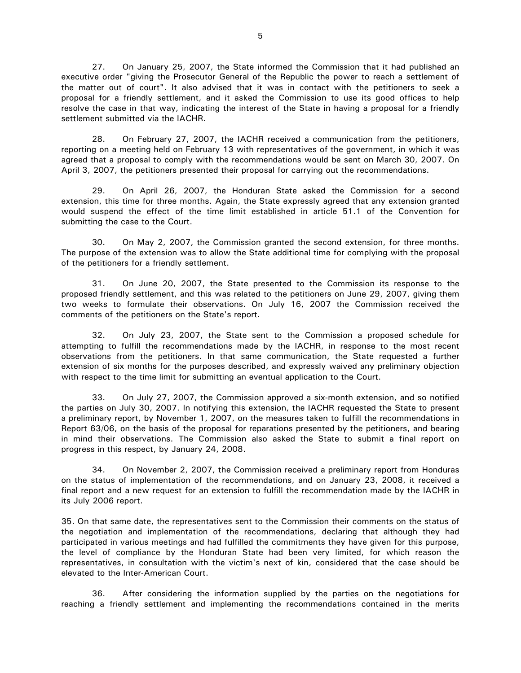27. On January 25, 2007, the State informed the Commission that it had published an executive order "giving the Prosecutor General of the Republic the power to reach a settlement of the matter out of court". It also advised that it was in contact with the petitioners to seek a proposal for a friendly settlement, and it asked the Commission to use its good offices to help resolve the case in that way, indicating the interest of the State in having a proposal for a friendly settlement submitted via the IACHR.

28. On February 27, 2007, the IACHR received a communication from the petitioners, reporting on a meeting held on February 13 with representatives of the government, in which it was agreed that a proposal to comply with the recommendations would be sent on March 30, 2007. On April 3, 2007, the petitioners presented their proposal for carrying out the recommendations.

29. On April 26, 2007, the Honduran State asked the Commission for a second extension, this time for three months. Again, the State expressly agreed that any extension granted would suspend the effect of the time limit established in article 51.1 of the Convention for submitting the case to the Court.

30. On May 2, 2007, the Commission granted the second extension, for three months. The purpose of the extension was to allow the State additional time for complying with the proposal of the petitioners for a friendly settlement.

31. On June 20, 2007, the State presented to the Commission its response to the proposed friendly settlement, and this was related to the petitioners on June 29, 2007, giving them two weeks to formulate their observations. On July 16, 2007 the Commission received the comments of the petitioners on the State's report.

32. On July 23, 2007, the State sent to the Commission a proposed schedule for attempting to fulfill the recommendations made by the IACHR, in response to the most recent observations from the petitioners. In that same communication, the State requested a further extension of six months for the purposes described, and expressly waived any preliminary objection with respect to the time limit for submitting an eventual application to the Court.

33. On July 27, 2007, the Commission approved a six-month extension, and so notified the parties on July 30, 2007. In notifying this extension, the IACHR requested the State to present a preliminary report, by November 1, 2007, on the measures taken to fulfill the recommendations in Report 63/06, on the basis of the proposal for reparations presented by the petitioners, and bearing in mind their observations. The Commission also asked the State to submit a final report on progress in this respect, by January 24, 2008.

34. On November 2, 2007, the Commission received a preliminary report from Honduras on the status of implementation of the recommendations, and on January 23, 2008, it received a final report and a new request for an extension to fulfill the recommendation made by the IACHR in its July 2006 report.

35. On that same date, the representatives sent to the Commission their comments on the status of the negotiation and implementation of the recommendations, declaring that although they had participated in various meetings and had fulfilled the commitments they have given for this purpose, the level of compliance by the Honduran State had been very limited, for which reason the representatives, in consultation with the victim's next of kin, considered that the case should be elevated to the Inter-American Court.

36. After considering the information supplied by the parties on the negotiations for reaching a friendly settlement and implementing the recommendations contained in the merits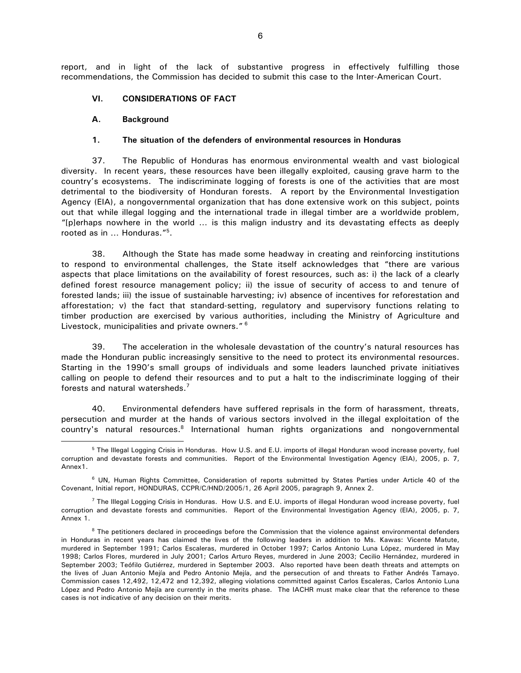report, and in light of the lack of substantive progress in effectively fulfilling those recommendations, the Commission has decided to submit this case to the Inter-American Court.

#### **VI. CONSIDERATIONS OF FACT**

#### **A. Background**

#### **1. The situation of the defenders of environmental resources in Honduras**

37. The Republic of Honduras has enormous environmental wealth and vast biological diversity. In recent years, these resources have been illegally exploited, causing grave harm to the country's ecosystems. The indiscriminate logging of forests is one of the activities that are most detrimental to the biodiversity of Honduran forests. A report by the Environmental Investigation Agency (EIA), a nongovernmental organization that has done extensive work on this subject, points out that while illegal logging and the international trade in illegal timber are a worldwide problem, "[p]erhaps nowhere in the world … is this malign industry and its devastating effects as deeply rooted as in … Honduras."<sup>5</sup> .

38. Although the State has made some headway in creating and reinforcing institutions to respond to environmental challenges, the State itself acknowledges that "there are various aspects that place limitations on the availability of forest resources, such as: i) the lack of a clearly defined forest resource management policy; ii) the issue of security of access to and tenure of forested lands; iii) the issue of sustainable harvesting; iv) absence of incentives for reforestation and afforestation; v) the fact that standard-setting, regulatory and supervisory functions relating to timber production are exercised by various authorities, including the Ministry of Agriculture and Livestock, municipalities and private owners."<sup>6</sup>

39. The acceleration in the wholesale devastation of the country's natural resources has made the Honduran public increasingly sensitive to the need to protect its environmental resources. Starting in the 1990's small groups of individuals and some leaders launched private initiatives calling on people to defend their resources and to put a halt to the indiscriminate logging of their forests and natural watersheds.<sup>7</sup>

40. Environmental defenders have suffered reprisals in the form of harassment, threats, persecution and murder at the hands of various sectors involved in the illegal exploitation of the country's natural resources.<sup>8</sup> International human rights organizations and nongovernmental  $\overline{a}$ 

<sup>5</sup> The Illegal Logging Crisis in Honduras. How U.S. and E.U. imports of illegal Honduran wood increase poverty, fuel corruption and devastate forests and communities. Report of the Environmental Investigation Agency (EIA), 2005, p. 7, Annex1.

<sup>&</sup>lt;sup>6</sup> UN, Human Rights Committee, Consideration of reports submitted by States Parties under Article 40 of the Covenant, Initial report, HONDURAS, CCPR/C/HND/2005/1, 26 April 2005, paragraph 9, Annex 2.

<sup>&</sup>lt;sup>7</sup> The Illegal Logging Crisis in Honduras. How U.S. and E.U. imports of illegal Honduran wood increase poverty, fuel corruption and devastate forests and communities. Report of the Environmental Investigation Agency (EIA), 2005, p. 7, Annex 1.

<sup>&</sup>lt;sup>8</sup> The petitioners declared in proceedings before the Commission that the violence against environmental defenders in Honduras in recent years has claimed the lives of the following leaders in addition to Ms. Kawas: Vicente Matute, murdered in September 1991; Carlos Escaleras, murdered in October 1997; Carlos Antonio Luna López, murdered in May 1998; Carlos Flores, murdered in July 2001; Carlos Arturo Reyes, murdered in June 2003; Cecilio Hernández, murdered in September 2003; Teófilo Gutiérrez, murdered in September 2003. Also reported have been death threats and attempts on the lives of Juan Antonio Mejía and Pedro Antonio Mejía, and the persecution of and threats to Father Andrés Tamayo. Commission cases 12,492, 12,472 and 12,392, alleging violations committed against Carlos Escaleras, Carlos Antonio Luna López and Pedro Antonio Mejía are currently in the merits phase. The IACHR must make clear that the reference to these cases is not indicative of any decision on their merits.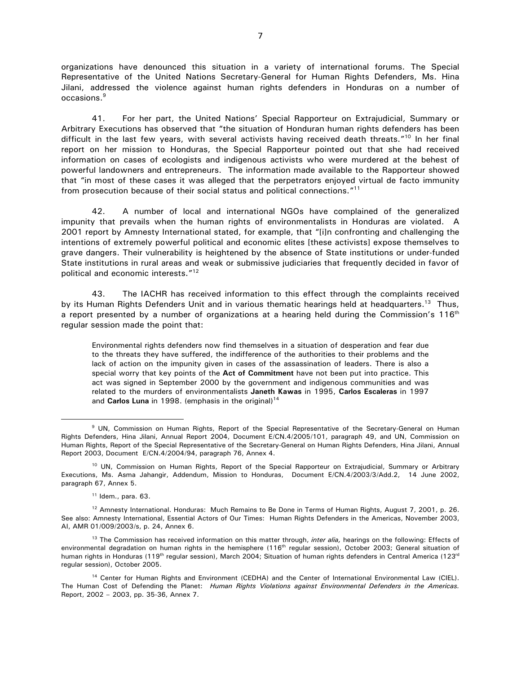organizations have denounced this situation in a variety of international forums. The Special Representative of the United Nations Secretary-General for Human Rights Defenders, Ms. Hina Jilani, addressed the violence against human rights defenders in Honduras on a number of occasions.<sup>9</sup>

41. For her part, the United Nations' Special Rapporteur on Extrajudicial, Summary or Arbitrary Executions has observed that "the situation of Honduran human rights defenders has been difficult in the last few years, with several activists having received death threats."<sup>10</sup> In her final report on her mission to Honduras, the Special Rapporteur pointed out that she had received information on cases of ecologists and indigenous activists who were murdered at the behest of powerful landowners and entrepreneurs. The information made available to the Rapporteur showed that "in most of these cases it was alleged that the perpetrators enjoyed virtual de facto immunity from prosecution because of their social status and political connections."<sup>11</sup>

42. A number of local and international NGOs have complained of the generalized impunity that prevails when the human rights of environmentalists in Honduras are violated. A 2001 report by Amnesty International stated, for example, that "[i]n confronting and challenging the intentions of extremely powerful political and economic elites [these activists] expose themselves to grave dangers. Their vulnerability is heightened by the absence of State institutions or under-funded State institutions in rural areas and weak or submissive judiciaries that frequently decided in favor of political and economic interests."<sup>12</sup>

43. The IACHR has received information to this effect through the complaints received by its Human Rights Defenders Unit and in various thematic hearings held at headquarters.<sup>13</sup> Thus, a report presented by a number of organizations at a hearing held during the Commission's  $116<sup>th</sup>$ regular session made the point that:

Environmental rights defenders now find themselves in a situation of desperation and fear due to the threats they have suffered, the indifference of the authorities to their problems and the lack of action on the impunity given in cases of the assassination of leaders. There is also a special worry that key points of the **Act of Commitment** have not been put into practice. This act was signed in September 2000 by the government and indigenous communities and was related to the murders of environmentalists **Janeth Kawas** in 1995, **Carlos Escaleras** in 1997 and **Carlos Luna** in 1998. (emphasis in the original)<sup>14</sup>

 $11$  Idem., para. 63.

<sup>9</sup> UN, Commission on Human Rights, Report of the Special Representative of the Secretary-General on Human Rights Defenders, Hina Jilani, Annual Report 2004, Document E/CN.4/2005/101, paragraph 49, and UN, Commission on Human Rights, Report of the Special Representative of the Secretary-General on Human Rights Defenders, Hina Jilani, Annual Report 2003, Document E/CN.4/2004/94, paragraph 76, Annex 4.

<sup>&</sup>lt;sup>10</sup> UN, Commission on Human Rights, Report of the Special Rapporteur on Extrajudicial, Summary or Arbitrary Executions, Ms. Asma Jahangir, Addendum, Mission to Honduras, Document E/CN.4/2003/3/Add.2, 14 June 2002, paragraph 67, Annex 5.

<sup>&</sup>lt;sup>12</sup> Amnesty International. Honduras: Much Remains to Be Done in Terms of Human Rights, August 7, 2001, p. 26. See also: Amnesty International, Essential Actors of Our Times: Human Rights Defenders in the Americas, November 2003, AI, AMR 01/009/2003/s, p. 24, Annex 6.

<sup>13</sup> The Commission has received information on this matter through, *inter alia,* hearings on the following: Effects of environmental degradation on human rights in the hemisphere (116<sup>th</sup> regular session), October 2003; General situation of human rights in Honduras (119<sup>th</sup> regular session), March 2004; Situation of human rights defenders in Central America (123<sup>rd</sup> regular session), October 2005.

<sup>14</sup> Center for Human Rights and Environment (CEDHA) and the Center of International Environmental Law (CIEL). The Human Cost of Defending the Planet: *Human Rights Violations against Environmental Defenders in the Americas.*  Report, 2002 – 2003, pp. 35-36, Annex 7.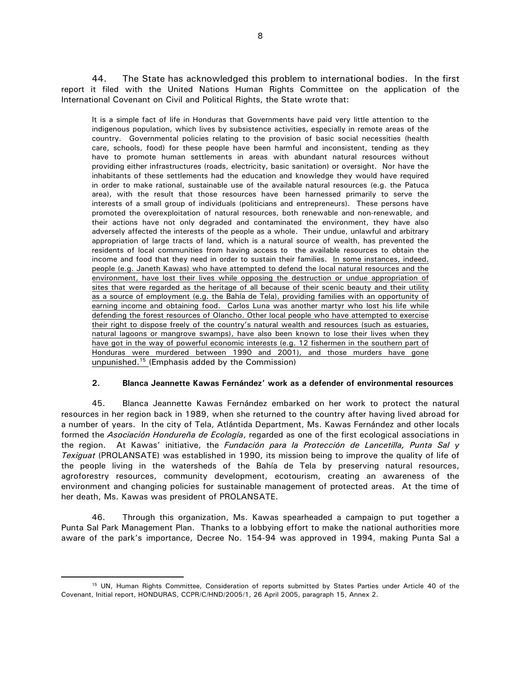44. The State has acknowledged this problem to international bodies. In the first report it filed with the United Nations Human Rights Committee on the application of the International Covenant on Civil and Political Rights, the State wrote that:

It is a simple fact of life in Honduras that Governments have paid very little attention to the indigenous population, which lives by subsistence activities, especially in remote areas of the country. Governmental policies relating to the provision of basic social necessities (health care, schools, food) for these people have been harmful and inconsistent, tending as they have to promote human settlements in areas with abundant natural resources without providing either infrastructures (roads, electricity, basic sanitation) or oversight. Nor have the inhabitants of these settlements had the education and knowledge they would have required in order to make rational, sustainable use of the available natural resources (e.g. the Patuca area), with the result that those resources have been harnessed primarily to serve the interests of a small group of individuals (politicians and entrepreneurs). These persons have promoted the overexploitation of natural resources, both renewable and non-renewable, and their actions have not only degraded and contaminated the environment, they have also adversely affected the interests of the people as a whole. Their undue, unlawful and arbitrary appropriation of large tracts of land, which is a natural source of wealth, has prevented the residents of local communities from having access to the available resources to obtain the income and food that they need in order to sustain their families. In some instances, indeed, people (e.g. Janeth Kawas) who have attempted to defend the local natural resources and the environment, have lost their lives while opposing the destruction or undue appropriation of sites that were regarded as the heritage of all because of their scenic beauty and their utility as a source of employment (e.g. the Bahía de Tela), providing families with an opportunity of earning income and obtaining food. Carlos Luna was another martyr who lost his life while defending the forest resources of Olancho. Other local people who have attempted to exercise their right to dispose freely of the country's natural wealth and resources (such as estuaries, natural lagoons or mangrove swamps), have also been known to lose their lives when they have got in the way of powerful economic interests (e.g. 12 fishermen in the southern part of Honduras were murdered between 1990 and 2001), and those murders have gone unpunished.<sup>15</sup> (Emphasis added by the Commission)

# **2. Blanca Jeannette Kawas Fernández' work as a defender of environmental resources**

45. Blanca Jeannette Kawas Fernández embarked on her work to protect the natural resources in her region back in 1989, when she returned to the country after having lived abroad for a number of years. In the city of Tela, Atlántida Department, Ms. Kawas Fernández and other locals formed the *Asociación Hondureña de Ecología*, regarded as one of the first ecological associations in the region. At Kawas' initiative, the *Fundación para la Protección de Lancetilla, Punta Sal y Texiguat* (PROLANSATE) was established in 1990, its mission being to improve the quality of life of the people living in the watersheds of the Bahía de Tela by preserving natural resources, agroforestry resources, community development, ecotourism, creating an awareness of the environment and changing policies for sustainable management of protected areas. At the time of her death, Ms. Kawas was president of PROLANSATE.

46. Through this organization, Ms. Kawas spearheaded a campaign to put together a Punta Sal Park Management Plan. Thanks to a lobbying effort to make the national authorities more aware of the park's importance, Decree No. 154-94 was approved in 1994, making Punta Sal a

<sup>15</sup> UN, Human Rights Committee, Consideration of reports submitted by States Parties under Article 40 of the Covenant, Initial report, HONDURAS, CCPR/C/HND/2005/1, 26 April 2005, paragraph 15, Annex 2.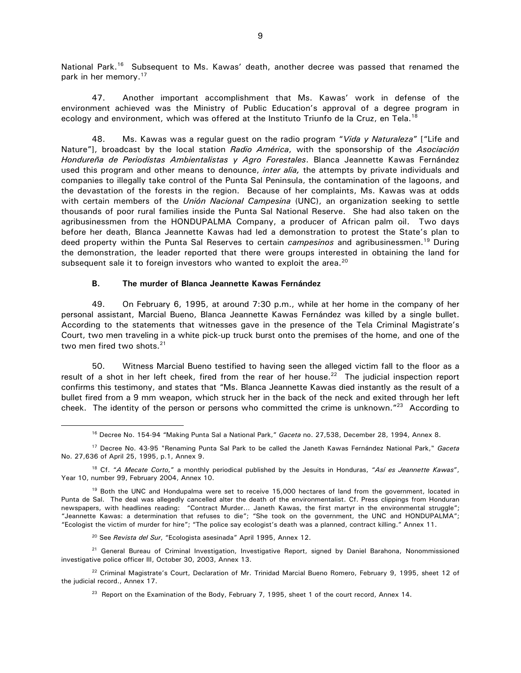National Park.<sup>16</sup> Subsequent to Ms. Kawas' death, another decree was passed that renamed the park in her memory.<sup>17</sup>

47. Another important accomplishment that Ms. Kawas' work in defense of the environment achieved was the Ministry of Public Education's approval of a degree program in ecology and environment, which was offered at the Instituto Triunfo de la Cruz, en Tela.<sup>18</sup>

48. Ms. Kawas was a regular guest on the radio program "*Vida y Naturaleza*" ["Life and Nature"], broadcast by the local station *Radio América*, with the sponsorship of the *Asociación Hondureña de Periodistas Ambientalistas y Agro Forestales*. Blanca Jeannette Kawas Fernández used this program and other means to denounce, *inter alia,* the attempts by private individuals and companies to illegally take control of the Punta Sal Peninsula, the contamination of the lagoons, and the devastation of the forests in the region. Because of her complaints, Ms. Kawas was at odds with certain members of the *Unión Nacional Campesina* (UNC), an organization seeking to settle thousands of poor rural families inside the Punta Sal National Reserve. She had also taken on the agribusinessmen from the HONDUPALMA Company, a producer of African palm oil. Two days before her death, Blanca Jeannette Kawas had led a demonstration to protest the State's plan to deed property within the Punta Sal Reserves to certain *campesinos* and agribusinessmen.<sup>19</sup> During the demonstration, the leader reported that there were groups interested in obtaining the land for subsequent sale it to foreign investors who wanted to exploit the area.<sup>20</sup>

#### **B. The murder of Blanca Jeannette Kawas Fernández**

49. On February 6, 1995, at around 7:30 p.m., while at her home in the company of her personal assistant, Marcial Bueno, Blanca Jeannette Kawas Fernández was killed by a single bullet. According to the statements that witnesses gave in the presence of the Tela Criminal Magistrate's Court, two men traveling in a white pick-up truck burst onto the premises of the home, and one of the two men fired two shots.<sup>21</sup>

50. Witness Marcial Bueno testified to having seen the alleged victim fall to the floor as a result of a shot in her left cheek, fired from the rear of her house.<sup>22</sup> The judicial inspection report confirms this testimony, and states that "Ms. Blanca Jeannette Kawas died instantly as the result of a bullet fired from a 9 mm weapon, which struck her in the back of the neck and exited through her left cheek. The identity of the person or persons who committed the crime is unknown."<sup>23</sup> According to

<sup>20</sup> See *Revista del Sur*, "Ecologista asesinada" April 1995, Annex 12.

 $\overline{a}$ 

<sup>21</sup> General Bureau of Criminal Investigation, Investigative Report, signed by Daniel Barahona, Nonommissioned investigative police officer III, October 30, 2003, Annex 13.

<sup>22</sup> Criminal Magistrate's Court, Declaration of Mr. Trinidad Marcial Bueno Romero, February 9, 1995, sheet 12 of the judicial record., Annex 17.

<sup>23</sup> Report on the Examination of the Body, February 7, 1995, sheet 1 of the court record, Annex 14.

<sup>16</sup> Decree No. 154-94 "Making Punta Sal a National Park," *Gaceta* no. 27,538, December 28, 1994, Annex 8.

<sup>17</sup> Decree No. 43-95 "Renaming Punta Sal Park to be called the Janeth Kawas Fernández National Park," *Gaceta* No. 27,636 of April 25, 1995, p.1, Annex 9.

<sup>18</sup> Cf. "*A Mecate Corto,*" a monthly periodical published by the Jesuits in Honduras, "*Así es Jeannette Kawas*", Year 10, number 99, February 2004, Annex 10.

<sup>&</sup>lt;sup>19</sup> Both the UNC and Hondupalma were set to receive 15,000 hectares of land from the government, located in Punta de Sal. The deal was allegedly cancelled alter the death of the environmentalist. Cf. Press clippings from Honduran newspapers, with headlines reading: "Contract Murder… Janeth Kawas, the first martyr in the environmental struggle"; "Jeannette Kawas: a determination that refuses to die"; "She took on the government, the UNC and HONDUPALMA"; "Ecologist the victim of murder for hire"; "The police say ecologist's death was a planned, contract killing." Annex 11.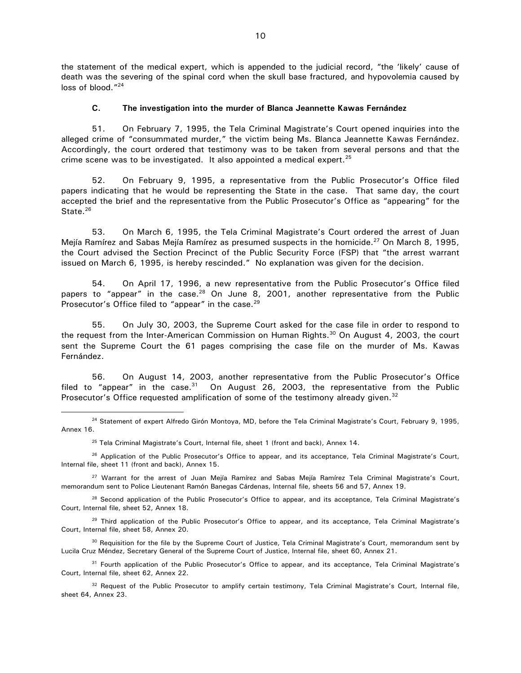the statement of the medical expert, which is appended to the judicial record, "the 'likely' cause of death was the severing of the spinal cord when the skull base fractured, and hypovolemia caused by loss of blood."<sup>24</sup>

# **C. The investigation into the murder of Blanca Jeannette Kawas Fernández**

51. On February 7, 1995, the Tela Criminal Magistrate's Court opened inquiries into the alleged crime of "consummated murder," the victim being Ms. Blanca Jeannette Kawas Fernández. Accordingly, the court ordered that testimony was to be taken from several persons and that the crime scene was to be investigated. It also appointed a medical expert. $25$ 

52. On February 9, 1995, a representative from the Public Prosecutor's Office filed papers indicating that he would be representing the State in the case. That same day, the court accepted the brief and the representative from the Public Prosecutor's Office as "appearing" for the State.<sup>26</sup>

53. On March 6, 1995, the Tela Criminal Magistrate's Court ordered the arrest of Juan Mejía Ramírez and Sabas Mejía Ramírez as presumed suspects in the homicide.<sup>27</sup> On March 8, 1995, the Court advised the Section Precinct of the Public Security Force (FSP) that "the arrest warrant issued on March 6, 1995, is hereby rescinded." No explanation was given for the decision.

54. On April 17, 1996, a new representative from the Public Prosecutor's Office filed papers to "appear" in the case.<sup>28</sup> On June 8, 2001, another representative from the Public Prosecutor's Office filed to "appear" in the case.<sup>29</sup>

55. On July 30, 2003, the Supreme Court asked for the case file in order to respond to the request from the Inter-American Commission on Human Rights.<sup>30</sup> On August 4, 2003, the court sent the Supreme Court the 61 pages comprising the case file on the murder of Ms. Kawas Fernández.

56. On August 14, 2003, another representative from the Public Prosecutor's Office filed to "appear" in the case. $31$  On August 26, 2003, the representative from the Public Prosecutor's Office requested amplification of some of the testimony already given.<sup>32</sup>

 $\overline{a}$ 

<sup>27</sup> Warrant for the arrest of Juan Mejía Ramírez and Sabas Mejía Ramírez Tela Criminal Magistrate's Court, memorandum sent to Police Lieutenant Ramón Banegas Cárdenas, Internal file, sheets 56 and 57, Annex 19.

<sup>28</sup> Second application of the Public Prosecutor's Office to appear, and its acceptance, Tela Criminal Magistrate's Court, Internal file, sheet 52, Annex 18.

<sup>29</sup> Third application of the Public Prosecutor's Office to appear, and its acceptance, Tela Criminal Magistrate's Court, Internal file, sheet 58, Annex 20.

<sup>30</sup> Requisition for the file by the Supreme Court of Justice, Tela Criminal Magistrate's Court, memorandum sent by Lucila Cruz Méndez, Secretary General of the Supreme Court of Justice, Internal file, sheet 60, Annex 21.

<sup>31</sup> Fourth application of the Public Prosecutor's Office to appear, and its acceptance, Tela Criminal Magistrate's Court, Internal file, sheet 62, Annex 22.

<sup>32</sup> Request of the Public Prosecutor to amplify certain testimony, Tela Criminal Magistrate's Court, Internal file, sheet 64, Annex 23.

<sup>&</sup>lt;sup>24</sup> Statement of expert Alfredo Girón Montoya, MD, before the Tela Criminal Magistrate's Court, February 9, 1995, Annex 16.

<sup>&</sup>lt;sup>25</sup> Tela Criminal Magistrate's Court, Internal file, sheet 1 (front and back), Annex 14.

<sup>&</sup>lt;sup>26</sup> Application of the Public Prosecutor's Office to appear, and its acceptance, Tela Criminal Magistrate's Court, Internal file, sheet 11 (front and back), Annex 15.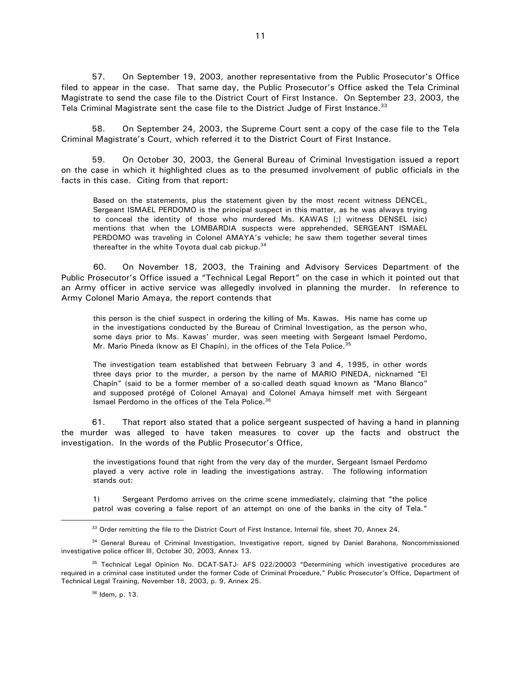57. On September 19, 2003, another representative from the Public Prosecutor's Office filed to appear in the case. That same day, the Public Prosecutor's Office asked the Tela Criminal Magistrate to send the case file to the District Court of First Instance. On September 23, 2003, the Tela Criminal Magistrate sent the case file to the District Judge of First Instance.<sup>33</sup>

58. On September 24, 2003, the Supreme Court sent a copy of the case file to the Tela Criminal Magistrate's Court, which referred it to the District Court of First Instance.

59. On October 30, 2003, the General Bureau of Criminal Investigation issued a report on the case in which it highlighted clues as to the presumed involvement of public officials in the facts in this case. Citing from that report:

Based on the statements, plus the statement given by the most recent witness DENCEL, Sergeant ISMAEL PERDOMO is the principal suspect in this matter, as he was always trying to conceal the identity of those who murdered Ms. KAWAS [;] witness DENSEL (sic) mentions that when the LOMBARDIA suspects were apprehended, SERGEANT ISMAEL PERDOMO was traveling in Colonel AMAYA's vehicle; he saw them together several times thereafter in the white Toyota dual cab pickup.<sup>34</sup>

 60. On November 18, 2003, the Training and Advisory Services Department of the Public Prosecutor's Office issued a "Technical Legal Report" on the case in which it pointed out that an Army officer in active service was allegedly involved in planning the murder. In reference to Army Colonel Mario Amaya, the report contends that

this person is the chief suspect in ordering the killing of Ms. Kawas. His name has come up in the investigations conducted by the Bureau of Criminal Investigation, as the person who, some days prior to Ms. Kawas' murder, was seen meeting with Sergeant Ismael Perdomo, Mr. Mario Pineda (know as El Chapín), in the offices of the Tela Police.<sup>35</sup>

The investigation team established that between February 3 and 4, 1995, in other words three days prior to the murder, a person by the name of MARIO PINEDA, nicknamed "El Chapín" (said to be a former member of a so-called death squad known as "Mano Blanco" and supposed protégé of Colonel Amaya) and Colonel Amaya himself met with Sergeant Ismael Perdomo in the offices of the Tela Police.<sup>36</sup>

 61. That report also stated that a police sergeant suspected of having a hand in planning the murder was alleged to have taken measures to cover up the facts and obstruct the investigation. In the words of the Public Prosecutor's Office,

the investigations found that right from the very day of the murder, Sergeant Ismael Perdomo played a very active role in leading the investigations astray. The following information stands out:

1) Sergeant Perdomo arrives on the crime scene immediately, claiming that "the police patrol was covering a false report of an attempt on one of the banks in the city of Tela."

<sup>&</sup>lt;sup>33</sup> Order remitting the file to the District Court of First Instance, Internal file, sheet 70, Annex 24.

<sup>&</sup>lt;sup>34</sup> General Bureau of Criminal Investigation, Investigative report, signed by Daniel Barahona, Noncommissioned investigative police officer III, October 30, 2003, Annex 13.

<sup>&</sup>lt;sup>35</sup> Technical Legal Opinion No. DCAT-SATJ- AFS 022/20003 "Determining which investigative procedures are required in a criminal case instituted under the former Code of Criminal Procedure," Public Prosecutor's Office, Department of Technical Legal Training, November 18, 2003, p. 9, Annex 25.

<sup>36</sup> Idem, p. 13.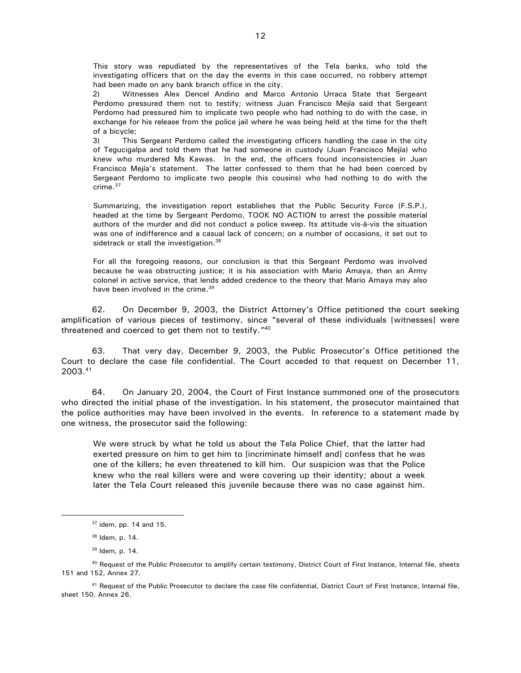This story was repudiated by the representatives of the Tela banks, who told the investigating officers that on the day the events in this case occurred, no robbery attempt had been made on any bank branch office in the city.

2) Witnesses Alex Dencel Andino and Marco Antonio Urraca State that Sergeant Perdomo pressured them not to testify; witness Juan Francisco Mejía said that Sergeant Perdomo had pressured him to implicate two people who had nothing to do with the case, in exchange for his release from the police jail where he was being held at the time for the theft of a bicycle;

3) This Sergeant Perdomo called the investigating officers handling the case in the city of Tegucigalpa and told them that he had someone in custody (Juan Francisco Mejía) who knew who murdered Ms Kawas. In the end, the officers found inconsistencies in Juan Francisco Mejía's statement. The latter confessed to them that he had been coerced by Sergeant Perdomo to implicate two people (his cousins) who had nothing to do with the crime.<sup>37</sup>

Summarizing, the investigation report establishes that the Public Security Force (F.S.P.), headed at the time by Sergeant Perdomo, TOOK NO ACTION to arrest the possible material authors of the murder and did not conduct a police sweep. Its attitude vis-à-vis the situation was one of indifference and a casual lack of concern; on a number of occasions, it set out to sidetrack or stall the investigation.<sup>38</sup>

For all the foregoing reasons, our conclusion is that this Sergeant Perdomo was involved because he was obstructing justice; it is his association with Mario Amaya, then an Army colonel in active service, that lends added credence to the theory that Mario Amaya may also have been involved in the crime.<sup>39</sup>

62. On December 9, 2003, the District Attorney's Office petitioned the court seeking amplification of various pieces of testimony, since "several of these individuals [witnesses] were threatened and coerced to get them not to testify."<sup>40</sup>

63. That very day, December 9, 2003, the Public Prosecutor's Office petitioned the Court to declare the case file confidential. The Court acceded to that request on December 11, 2003.<sup>41</sup>

64. On January 20, 2004, the Court of First Instance summoned one of the prosecutors who directed the initial phase of the investigation. In his statement, the prosecutor maintained that the police authorities may have been involved in the events. In reference to a statement made by one witness, the prosecutor said the following:

We were struck by what he told us about the Tela Police Chief, that the latter had exerted pressure on him to get him to [incriminate himself and] confess that he was one of the killers; he even threatened to kill him. Our suspicion was that the Police knew who the real killers were and were covering up their identity; about a week later the Tela Court released this juvenile because there was no case against him.

 $37$  idem, pp. 14 and 15.

<sup>38</sup> Idem, p. 14.

<sup>39</sup> Idem, p. 14.

<sup>&</sup>lt;sup>40</sup> Request of the Public Prosecutor to amplify certain testimony, District Court of First Instance, Internal file, sheets 151 and 152, Annex 27.

<sup>41</sup> Request of the Public Prosecutor to declare the case file confidential, District Court of First Instance, Internal file, sheet 150, Annex 26.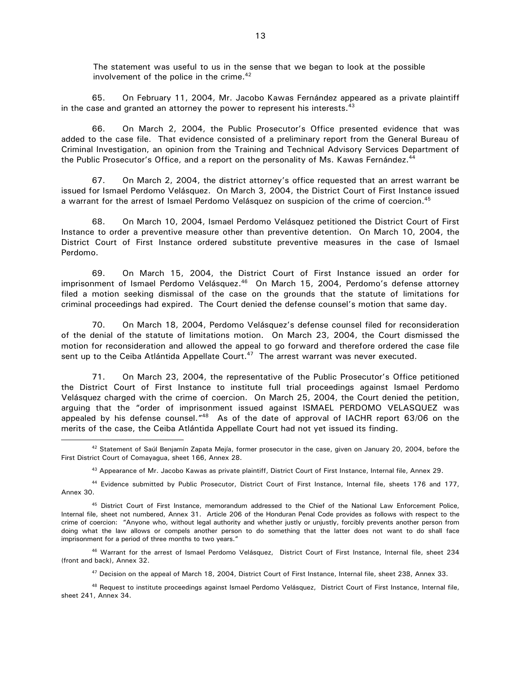The statement was useful to us in the sense that we began to look at the possible involvement of the police in the crime. $42$ 

65. On February 11, 2004, Mr. Jacobo Kawas Fernández appeared as a private plaintiff in the case and granted an attorney the power to represent his interests. $43$ 

66. On March 2, 2004, the Public Prosecutor's Office presented evidence that was added to the case file. That evidence consisted of a preliminary report from the General Bureau of Criminal Investigation, an opinion from the Training and Technical Advisory Services Department of the Public Prosecutor's Office, and a report on the personality of Ms. Kawas Fernández.<sup>44</sup>

67. On March 2, 2004, the district attorney's office requested that an arrest warrant be issued for Ismael Perdomo Velásquez. On March 3, 2004, the District Court of First Instance issued a warrant for the arrest of Ismael Perdomo Velásquez on suspicion of the crime of coercion.<sup>45</sup>

68. On March 10, 2004, Ismael Perdomo Velásquez petitioned the District Court of First Instance to order a preventive measure other than preventive detention. On March 10, 2004, the District Court of First Instance ordered substitute preventive measures in the case of Ismael Perdomo.

69. On March 15, 2004, the District Court of First Instance issued an order for imprisonment of Ismael Perdomo Velásquez. $46$  On March 15, 2004, Perdomo's defense attorney filed a motion seeking dismissal of the case on the grounds that the statute of limitations for criminal proceedings had expired. The Court denied the defense counsel's motion that same day.

70. On March 18, 2004, Perdomo Velásquez's defense counsel filed for reconsideration of the denial of the statute of limitations motion. On March 23, 2004, the Court dismissed the motion for reconsideration and allowed the appeal to go forward and therefore ordered the case file sent up to the Ceiba Atlántida Appellate Court.<sup>47</sup> The arrest warrant was never executed.

71. On March 23, 2004, the representative of the Public Prosecutor's Office petitioned the District Court of First Instance to institute full trial proceedings against Ismael Perdomo Velásquez charged with the crime of coercion. On March 25, 2004, the Court denied the petition, arguing that the "order of imprisonment issued against ISMAEL PERDOMO VELASQUEZ was appealed by his defense counsel."<sup>48</sup> As of the date of approval of IACHR report 63/06 on the merits of the case, the Ceiba Atlántida Appellate Court had not yet issued its finding.  $\overline{a}$ 

<sup>42</sup> Statement of Saúl Benjamín Zapata Mejía, former prosecutor in the case, given on January 20, 2004, before the First District Court of Comayagua, sheet 166, Annex 28.

<sup>43</sup> Appearance of Mr. Jacobo Kawas as private plaintiff, District Court of First Instance, Internal file, Annex 29.

<sup>44</sup> Evidence submitted by Public Prosecutor, District Court of First Instance, Internal file, sheets 176 and 177, Annex 30.

<sup>45</sup> District Court of First Instance, memorandum addressed to the Chief of the National Law Enforcement Police, Internal file, sheet not numbered, Annex 31. Article 206 of the Honduran Penal Code provides as follows with respect to the crime of coercion: "Anyone who, without legal authority and whether justly or unjustly, forcibly prevents another person from doing what the law allows or compels another person to do something that the latter does not want to do shall face imprisonment for a period of three months to two years."

<sup>46</sup> Warrant for the arrest of Ismael Perdomo Velásquez, District Court of First Instance, Internal file, sheet 234 (front and back), Annex 32.

<sup>47</sup> Decision on the appeal of March 18, 2004, District Court of First Instance, Internal file, sheet 238, Annex 33.

<sup>48</sup> Request to institute proceedings against Ismael Perdomo Velásquez, District Court of First Instance, Internal file, sheet 241, Annex 34.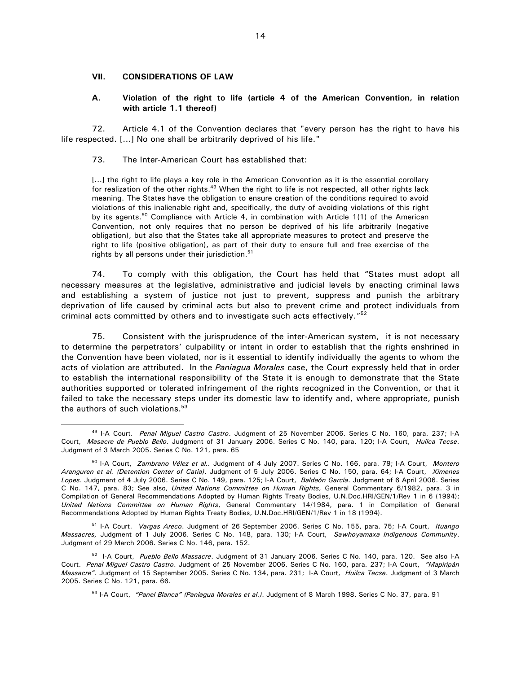#### **VII. CONSIDERATIONS OF LAW**

 $\overline{a}$ 

#### **A. Violation of the right to life (article 4 of the American Convention, in relation with article 1.1 thereof)**

72. Article 4.1 of the Convention declares that "every person has the right to have his life respected. [...] No one shall be arbitrarily deprived of his life."

73. The Inter-American Court has established that:

[...] the right to life plays a key role in the American Convention as it is the essential corollary for realization of the other rights.<sup>49</sup> When the right to life is not respected, all other rights lack meaning. The States have the obligation to ensure creation of the conditions required to avoid violations of this inalienable right and, specifically, the duty of avoiding violations of this right by its agents.<sup>50</sup> Compliance with Article 4, in combination with Article 1(1) of the American Convention, not only requires that no person be deprived of his life arbitrarily (negative obligation), but also that the States take all appropriate measures to protect and preserve the right to life (positive obligation), as part of their duty to ensure full and free exercise of the rights by all persons under their jurisdiction.<sup>51</sup>

74. To comply with this obligation, the Court has held that "States must adopt all necessary measures at the legislative, administrative and judicial levels by enacting criminal laws and establishing a system of justice not just to prevent, suppress and punish the arbitrary deprivation of life caused by criminal acts but also to prevent crime and protect individuals from criminal acts committed by others and to investigate such acts effectively."<sup>52</sup>

75. Consistent with the jurisprudence of the inter-American system, it is not necessary to determine the perpetrators' culpability or intent in order to establish that the rights enshrined in the Convention have been violated, nor is it essential to identify individually the agents to whom the acts of violation are attributed. In the *Paniagua Morales* case, the Court expressly held that in order to establish the international responsibility of the State it is enough to demonstrate that the State authorities supported or tolerated infringement of the rights recognized in the Convention, or that it failed to take the necessary steps under its domestic law to identify and, where appropriate, punish the authors of such violations. $53$ 

<sup>49</sup> I-A Court. *Penal Miguel Castro Castro*. Judgment of 25 November 2006. Series C No. 160, para. 237; I-A Court, *Masacre de Pueblo Bello*. Judgment of 31 January 2006. Series C No. 140, para. 120; I-A Court, *Huilca Tecse*. Judgment of 3 March 2005. Series C No. 121, para. 65

<sup>50</sup> I-A Court, *Zambrano Vélez et al..* Judgment of 4 July 2007. Series C No. 166, para. 79; I-A Court, *Montero Aranguren et al. (Detention Center of Catia)*. Judgment of 5 July 2006. Series C No. 150, para. 64; I-A Court, *Ximenes Lopes*. Judgment of 4 July 2006. Series C No. 149, para. 125; I-A Court, *Baldeón García*. Judgment of 6 April 2006. Series C No. 147, para. 83; See also, *United Nations Committee on Human Rights*, General Commentary 6/1982, para. 3 in Compilation of General Recommendations Adopted by Human Rights Treaty Bodies, U.N.Doc.HRI/GEN/1/Rev 1 in 6 (1994); *United Nations Committee on Human Rights*, General Commentary 14/1984, para. 1 in Compilation of General Recommendations Adopted by Human Rights Treaty Bodies, U.N.Doc.HRI/GEN/1/Rev 1 in 18 (1994).

<sup>51</sup> I-A Court. *Vargas Areco*. Judgment of 26 September 2006. Series C No. 155, para. 75; I-A Court, *Ituango Massacres,* Judgment of 1 July 2006. Series C No. 148, para. 130; I-A Court, *Sawhoyamaxa Indigenous Community*. Judgment of 29 March 2006. Series C No. 146, para. 152.

<sup>52</sup> I-A Court, *Pueblo Bello Massacre*. Judgment of 31 January 2006. Series C No. 140, para. 120. See also I-A Court. *Penal Miguel Castro Castro*. Judgment of 25 November 2006. Series C No. 160, para. 237; I-A Court, *"Mapiripán Massacre"*. Judgment of 15 September 2005. Series C No. 134, para. 231; I-A Court, *Huilca Tecse*. Judgment of 3 March 2005. Series C No. 121, para. 66.

<sup>53</sup> I-A Court, *"Panel Blanca" (Paniagua Morales et al.)*. Judgment of 8 March 1998. Series C No. 37, para. 91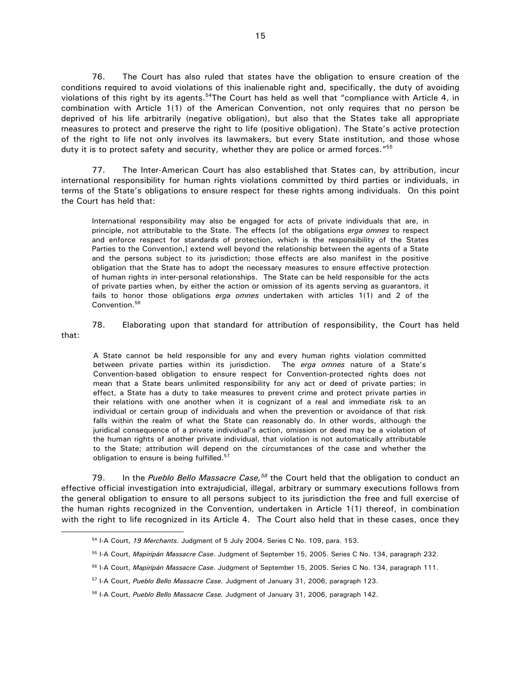76. The Court has also ruled that states have the obligation to ensure creation of the conditions required to avoid violations of this inalienable right and, specifically, the duty of avoiding violations of this right by its agents.<sup>54</sup>The Court has held as well that "compliance with Article 4, in combination with Article 1(1) of the American Convention, not only requires that no person be deprived of his life arbitrarily (negative obligation), but also that the States take all appropriate measures to protect and preserve the right to life (positive obligation). The State's active protection of the right to life not only involves its lawmakers, but every State institution, and those whose duty it is to protect safety and security, whether they are police or armed forces." $55$ 

77. The Inter-American Court has also established that States can, by attribution, incur international responsibility for human rights violations committed by third parties or individuals, in terms of the State's obligations to ensure respect for these rights among individuals. On this point the Court has held that:

International responsibility may also be engaged for acts of private individuals that are, in principle, not attributable to the State. The effects [of the obligations *erga omnes* to respect and enforce respect for standards of protection, which is the responsibility of the States Parties to the Convention,] extend well beyond the relationship between the agents of a State and the persons subject to its jurisdiction; those effects are also manifest in the positive obligation that the State has to adopt the necessary measures to ensure effective protection of human rights in inter-personal relationships. The State can be held responsible for the acts of private parties when, by either the action or omission of its agents serving as guarantors, it fails to honor those obligations *erga omnes* undertaken with articles 1(1) and 2 of the Convention.<sup>56</sup>

that:

78. Elaborating upon that standard for attribution of responsibility, the Court has held

A State cannot be held responsible for any and every human rights violation committed between private parties within its jurisdiction. The *erga omnes* nature of a State's Convention-based obligation to ensure respect for Convention-protected rights does not mean that a State bears unlimited responsibility for any act or deed of private parties; in effect, a State has a duty to take measures to prevent crime and protect private parties in their relations with one another when it is cognizant of a real and immediate risk to an individual or certain group of individuals and when the prevention or avoidance of that risk falls within the realm of what the State can reasonably do. In other words, although the juridical consequence of a private individual's action, omission or deed may be a violation of the human rights of another private individual, that violation is not automatically attributable to the State; attribution will depend on the circumstances of the case and whether the obligation to ensure is being fulfilled.<sup>57</sup>

 79. In the *Pueblo Bello Massacre Case,<sup>58</sup>* the Court held that the obligation to conduct an effective official investigation into extrajudicial, illegal, arbitrary or summary executions follows from the general obligation to ensure to all persons subject to its jurisdiction the free and full exercise of the human rights recognized in the Convention, undertaken in Article 1(1) thereof, in combination with the right to life recognized in its Article 4. The Court also held that in these cases, once they  $\overline{a}$ 

<sup>54</sup> I-A Court, *19 Merchants*. Judgment of 5 July 2004. Series C No. 109, para. 153.

<sup>55</sup> I-A Court, *Mapiripán Massacre Case*. Judgment of September 15, 2005. Series C No. 134, paragraph 232.

<sup>56</sup> I-A Court, *Mapiripán Massacre Case*. Judgment of September 15, 2005. Series C No. 134, paragraph 111.

<sup>57</sup> I-A Court, *Pueblo Bello Massacre Case.* Judgment of January 31, 2006, paragraph 123.

<sup>58</sup> I-A Court, *Pueblo Bello Massacre Case.* Judgment of January 31, 2006, paragraph 142.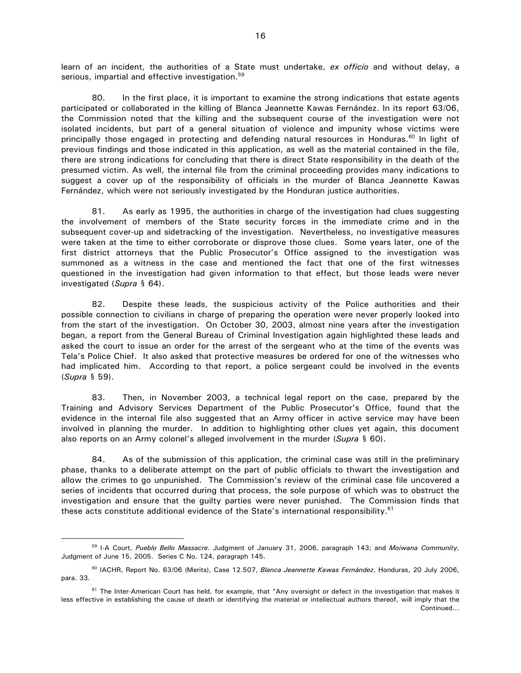learn of an incident, the authorities of a State must undertake, *ex officio* and without delay, a serious, impartial and effective investigation.<sup>59</sup>

80. In the first place, it is important to examine the strong indications that estate agents participated or collaborated in the killing of Blanca Jeannette Kawas Fernández. In its report 63/06, the Commission noted that the killing and the subsequent course of the investigation were not isolated incidents, but part of a general situation of violence and impunity whose victims were principally those engaged in protecting and defending natural resources in Honduras.<sup>60</sup> In light of previous findings and those indicated in this application, as well as the material contained in the file, there are strong indications for concluding that there is direct State responsibility in the death of the presumed victim. As well, the internal file from the criminal proceeding provides many indications to suggest a cover up of the responsibility of officials in the murder of Blanca Jeannette Kawas Fernández, which were not seriously investigated by the Honduran justice authorities.

81. As early as 1995, the authorities in charge of the investigation had clues suggesting the involvement of members of the State security forces in the immediate crime and in the subsequent cover-up and sidetracking of the investigation. Nevertheless, no investigative measures were taken at the time to either corroborate or disprove those clues. Some years later, one of the first district attorneys that the Public Prosecutor's Office assigned to the investigation was summoned as a witness in the case and mentioned the fact that one of the first witnesses questioned in the investigation had given information to that effect, but those leads were never investigated (*Supra* § 64).

82. Despite these leads, the suspicious activity of the Police authorities and their possible connection to civilians in charge of preparing the operation were never properly looked into from the start of the investigation. On October 30, 2003, almost nine years after the investigation began, a report from the General Bureau of Criminal Investigation again highlighted these leads and asked the court to issue an order for the arrest of the sergeant who at the time of the events was Tela's Police Chief. It also asked that protective measures be ordered for one of the witnesses who had implicated him. According to that report, a police sergeant could be involved in the events (*Supra* § 59).

83. Then, in November 2003, a technical legal report on the case, prepared by the Training and Advisory Services Department of the Public Prosecutor's Office, found that the evidence in the internal file also suggested that an Army officer in active service may have been involved in planning the murder. In addition to highlighting other clues yet again, this document also reports on an Army colonel's alleged involvement in the murder (*Supra* § 60).

84. As of the submission of this application, the criminal case was still in the preliminary phase, thanks to a deliberate attempt on the part of public officials to thwart the investigation and allow the crimes to go unpunished. The Commission's review of the criminal case file uncovered a series of incidents that occurred during that process, the sole purpose of which was to obstruct the investigation and ensure that the guilty parties were never punished. The Commission finds that these acts constitute additional evidence of the State's international responsibility.<sup>61</sup>

<sup>59</sup> I-A Court, *Pueblo Bello Massacre.* Judgment of January 31, 2006, paragraph 143; and *Moiwana Community.*  Judgment of June 15, 2005. Series C No. 124, paragraph 145.

<sup>60</sup> IACHR, Report No. 63/06 (Merits), Case 12.507, *Blanca Jeannette Kawas Fernández*, Honduras, 20 July 2006, para. 33.

 $61$  The Inter-American Court has held, for example, that "Any oversight or defect in the investigation that makes it less effective in establishing the cause of death or identifying the material or intellectual authors thereof, will imply that the Continued…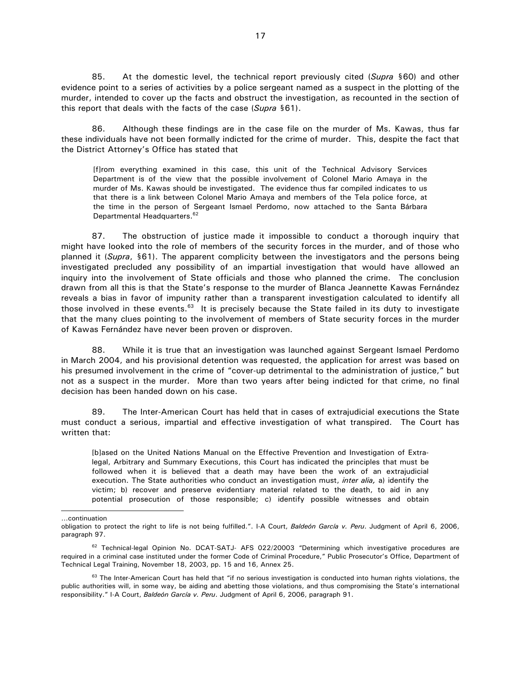85. At the domestic level, the technical report previously cited (*Supra* §60) and other evidence point to a series of activities by a police sergeant named as a suspect in the plotting of the murder, intended to cover up the facts and obstruct the investigation, as recounted in the section of this report that deals with the facts of the case (*Supra* §61).

86. Although these findings are in the case file on the murder of Ms. Kawas, thus far these individuals have not been formally indicted for the crime of murder. This, despite the fact that the District Attorney's Office has stated that

[f]rom everything examined in this case, this unit of the Technical Advisory Services Department is of the view that the possible involvement of Colonel Mario Amaya in the murder of Ms. Kawas should be investigated. The evidence thus far compiled indicates to us that there is a link between Colonel Mario Amaya and members of the Tela police force, at the time in the person of Sergeant Ismael Perdomo, now attached to the Santa Bárbara Departmental Headquarters.<sup>62</sup>

87. The obstruction of justice made it impossible to conduct a thorough inquiry that might have looked into the role of members of the security forces in the murder, and of those who planned it (*Supra*, §61). The apparent complicity between the investigators and the persons being investigated precluded any possibility of an impartial investigation that would have allowed an inquiry into the involvement of State officials and those who planned the crime. The conclusion drawn from all this is that the State's response to the murder of Blanca Jeannette Kawas Fernández reveals a bias in favor of impunity rather than a transparent investigation calculated to identify all those involved in these events.<sup>63</sup> It is precisely because the State failed in its duty to investigate that the many clues pointing to the involvement of members of State security forces in the murder of Kawas Fernández have never been proven or disproven.

88. While it is true that an investigation was launched against Sergeant Ismael Perdomo in March 2004, and his provisional detention was requested, the application for arrest was based on his presumed involvement in the crime of "cover-up detrimental to the administration of justice," but not as a suspect in the murder. More than two years after being indicted for that crime, no final decision has been handed down on his case.

 89. The Inter-American Court has held that in cases of extrajudicial executions the State must conduct a serious, impartial and effective investigation of what transpired. The Court has written that:

[b]ased on the United Nations Manual on the Effective Prevention and Investigation of Extralegal, Arbitrary and Summary Executions, this Court has indicated the principles that must be followed when it is believed that a death may have been the work of an extrajudicial execution. The State authorities who conduct an investigation must, *inter alia,* a) identify the victim; b) recover and preserve evidentiary material related to the death, to aid in any potential prosecution of those responsible; c) identify possible witnesses and obtain

-

<sup>…</sup>continuation

obligation to protect the right to life is not being fulfilled.". I-A Court, *Baldeón García v. Peru*. Judgment of April 6, 2006, paragraph 97.

 $62$  Technical-legal Opinion No. DCAT-SATJ- AFS 022/20003 "Determining which investigative procedures are required in a criminal case instituted under the former Code of Criminal Procedure," Public Prosecutor's Office, Department of Technical Legal Training, November 18, 2003, pp. 15 and 16, Annex 25.

 $63$  The Inter-American Court has held that "if no serious investigation is conducted into human rights violations, the public authorities will, in some way, be aiding and abetting those violations, and thus compromising the State's international responsibility." I-A Court, *Baldeón García v. Peru*. Judgment of April 6, 2006, paragraph 91.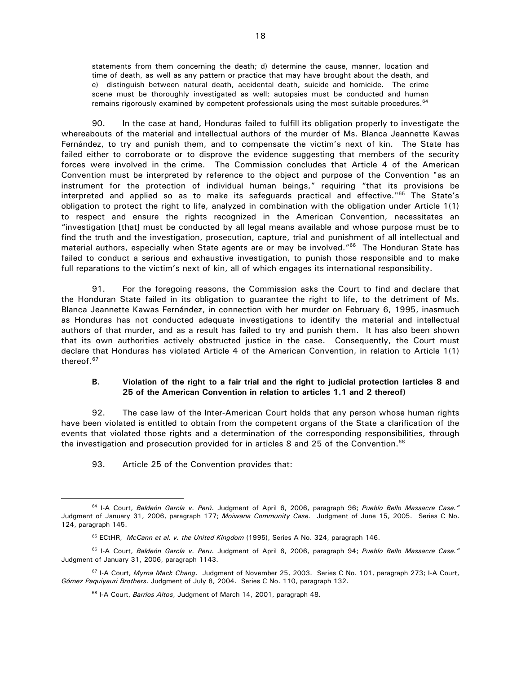statements from them concerning the death; d) determine the cause, manner, location and time of death, as well as any pattern or practice that may have brought about the death, and e) distinguish between natural death, accidental death, suicide and homicide. The crime scene must be thoroughly investigated as well; autopsies must be conducted and human remains rigorously examined by competent professionals using the most suitable procedures.<sup>64</sup>

90. In the case at hand, Honduras failed to fulfill its obligation properly to investigate the whereabouts of the material and intellectual authors of the murder of Ms. Blanca Jeannette Kawas Fernández, to try and punish them, and to compensate the victim's next of kin. The State has failed either to corroborate or to disprove the evidence suggesting that members of the security forces were involved in the crime. The Commission concludes that Article 4 of the American Convention must be interpreted by reference to the object and purpose of the Convention "as an instrument for the protection of individual human beings," requiring "that its provisions be interpreted and applied so as to make its safeguards practical and effective."<sup>65</sup> The State's obligation to protect the right to life, analyzed in combination with the obligation under Article 1(1) to respect and ensure the rights recognized in the American Convention, necessitates an "investigation [that] must be conducted by all legal means available and whose purpose must be to find the truth and the investigation, prosecution, capture, trial and punishment of all intellectual and material authors, especially when State agents are or may be involved."<sup>66</sup> The Honduran State has failed to conduct a serious and exhaustive investigation, to punish those responsible and to make full reparations to the victim's next of kin, all of which engages its international responsibility.

91. For the foregoing reasons, the Commission asks the Court to find and declare that the Honduran State failed in its obligation to guarantee the right to life, to the detriment of Ms. Blanca Jeannette Kawas Fernández, in connection with her murder on February 6, 1995, inasmuch as Honduras has not conducted adequate investigations to identify the material and intellectual authors of that murder, and as a result has failed to try and punish them. It has also been shown that its own authorities actively obstructed justice in the case. Consequently, the Court must declare that Honduras has violated Article 4 of the American Convention, in relation to Article 1(1) thereof.<sup>67</sup>

#### **B. Violation of the right to a fair trial and the right to judicial protection (articles 8 and 25 of the American Convention in relation to articles 1.1 and 2 thereof)**

92. The case law of the Inter-American Court holds that any person whose human rights have been violated is entitled to obtain from the competent organs of the State a clarification of the events that violated those rights and a determination of the corresponding responsibilities, through the investigation and prosecution provided for in articles 8 and 25 of the Convention.<sup>68</sup>

93. Article 25 of the Convention provides that:

<sup>64</sup> I-A Court, *Baldeón García v. Perú*. Judgment of April 6, 2006, paragraph 96; *Pueblo Bello Massacre Case."* Judgment of January 31, 2006, paragraph 177; *Moiwana Community Case.* Judgment of June 15, 2005. Series C No. 124, paragraph 145.

<sup>65</sup> ECtHR, *McCann et al. v. the United Kingdom* (1995), Series A No. 324, paragraph 146.

<sup>66</sup> I-A Court, *Baldeón García v. Peru*. Judgment of April 6, 2006, paragraph 94; *Pueblo Bello Massacre Case."* Judgment of January 31, 2006, paragraph 1143.

<sup>67</sup> I-A Court, *Myrna Mack Chang*. Judgment of November 25, 2003. Series C No. 101, paragraph 273; I-A Court, *Gómez Paquiyauri Brothers*. Judgment of July 8, 2004. Series C No. 110, paragraph 132.

<sup>68</sup> I-A Court, *Barrios Altos*, Judgment of March 14, 2001, paragraph 48.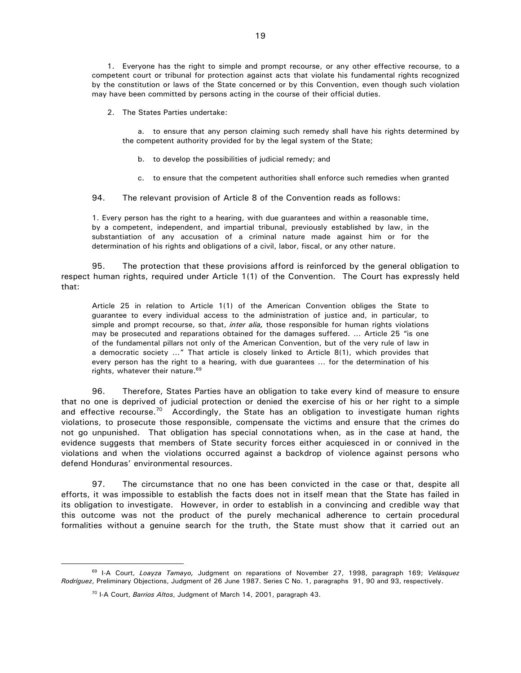1. Everyone has the right to simple and prompt recourse, or any other effective recourse, to a competent court or tribunal for protection against acts that violate his fundamental rights recognized by the constitution or laws of the State concerned or by this Convention, even though such violation may have been committed by persons acting in the course of their official duties.

2. The States Parties undertake:

a. to ensure that any person claiming such remedy shall have his rights determined by the competent authority provided for by the legal system of the State;

- b. to develop the possibilities of judicial remedy; and
- c. to ensure that the competent authorities shall enforce such remedies when granted

94. The relevant provision of Article 8 of the Convention reads as follows:

1. Every person has the right to a hearing, with due guarantees and within a reasonable time, by a competent, independent, and impartial tribunal, previously established by law, in the substantiation of any accusation of a criminal nature made against him or for the determination of his rights and obligations of a civil, labor, fiscal, or any other nature.

95. The protection that these provisions afford is reinforced by the general obligation to respect human rights, required under Article 1(1) of the Convention. The Court has expressly held that:

Article 25 in relation to Article 1(1) of the American Convention obliges the State to guarantee to every individual access to the administration of justice and, in particular, to simple and prompt recourse, so that, *inter alia,* those responsible for human rights violations may be prosecuted and reparations obtained for the damages suffered. … Article 25 "is one of the fundamental pillars not only of the American Convention, but of the very rule of law in a democratic society …" That article is closely linked to Article 8(1), which provides that every person has the right to a hearing, with due guarantees … for the determination of his rights, whatever their nature.<sup>69</sup>

96. Therefore, States Parties have an obligation to take every kind of measure to ensure that no one is deprived of judicial protection or denied the exercise of his or her right to a simple and effective recourse.<sup>70</sup> Accordingly, the State has an obligation to investigate human rights violations, to prosecute those responsible, compensate the victims and ensure that the crimes do not go unpunished. That obligation has special connotations when, as in the case at hand, the evidence suggests that members of State security forces either acquiesced in or connived in the violations and when the violations occurred against a backdrop of violence against persons who defend Honduras' environmental resources.

97. The circumstance that no one has been convicted in the case or that, despite all efforts, it was impossible to establish the facts does not in itself mean that the State has failed in its obligation to investigate. However, in order to establish in a convincing and credible way that this outcome was not the product of the purely mechanical adherence to certain procedural formalities without a genuine search for the truth, the State must show that it carried out an

<sup>69</sup> I-A Court, *Loayza Tamayo,* Judgment on reparations of November 27, 1998, paragraph 169; *Velásquez Rodríguez*, Preliminary Objections, Judgment of 26 June 1987. Series C No. 1, paragraphs 91, 90 and 93, respectively.

<sup>70</sup> I-A Court, *Barrios Altos*, Judgment of March 14, 2001, paragraph 43.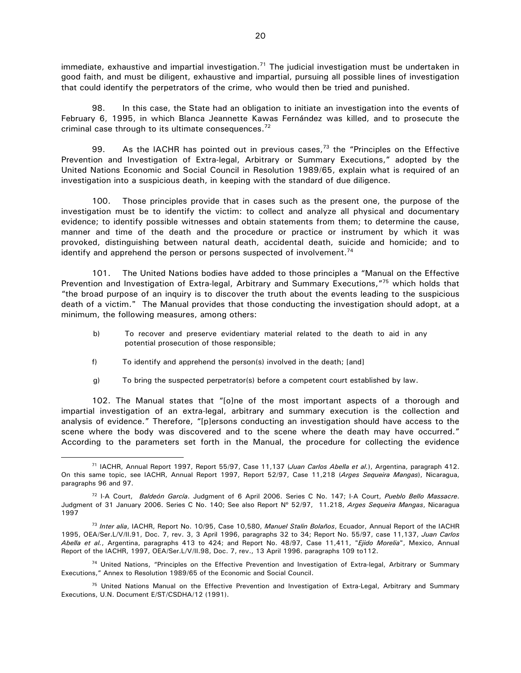$immediate$ , exhaustive and impartial investigation.<sup>71</sup> The judicial investigation must be undertaken in good faith, and must be diligent, exhaustive and impartial, pursuing all possible lines of investigation that could identify the perpetrators of the crime, who would then be tried and punished.

98. In this case, the State had an obligation to initiate an investigation into the events of February 6, 1995, in which Blanca Jeannette Kawas Fernández was killed, and to prosecute the criminal case through to its ultimate consequences.<sup>72</sup>

99. As the IACHR has pointed out in previous cases,  $73$  the "Principles on the Effective Prevention and Investigation of Extra-legal, Arbitrary or Summary Executions," adopted by the United Nations Economic and Social Council in Resolution 1989/65, explain what is required of an investigation into a suspicious death, in keeping with the standard of due diligence.

100. Those principles provide that in cases such as the present one, the purpose of the investigation must be to identify the victim: to collect and analyze all physical and documentary evidence; to identify possible witnesses and obtain statements from them; to determine the cause, manner and time of the death and the procedure or practice or instrument by which it was provoked, distinguishing between natural death, accidental death, suicide and homicide; and to identify and apprehend the person or persons suspected of involvement.<sup>74</sup>

101. The United Nations bodies have added to those principles a "Manual on the Effective Prevention and Investigation of Extra-legal, Arbitrary and Summary Executions,"<sup>75</sup> which holds that "the broad purpose of an inquiry is to discover the truth about the events leading to the suspicious death of a victim." The Manual provides that those conducting the investigation should adopt, at a minimum, the following measures, among others:

- b) To recover and preserve evidentiary material related to the death to aid in any potential prosecution of those responsible;
- f) To identify and apprehend the person(s) involved in the death; [and]

 $\overline{a}$ 

g) To bring the suspected perpetrator(s) before a competent court established by law.

102. The Manual states that "[o]ne of the most important aspects of a thorough and impartial investigation of an extra-legal, arbitrary and summary execution is the collection and analysis of evidence." Therefore, "[p]ersons conducting an investigation should have access to the scene where the body was discovered and to the scene where the death may have occurred." According to the parameters set forth in the Manual, the procedure for collecting the evidence

<sup>71</sup> IACHR, Annual Report 1997, Report 55/97, Case 11,137 (*Juan Carlos Abella et al.*), Argentina, paragraph 412. On this same topic, see IACHR, Annual Report 1997, Report 52/97, Case 11,218 (*Arges Sequeira Mangas*), Nicaragua, paragraphs 96 and 97.

<sup>72</sup> I-A Court, *Baldeón García*. Judgment of 6 April 2006. Series C No. 147; I-A Court, *Pueblo Bello Massacre*. Judgment of 31 January 2006. Series C No. 140; See also Report Nº 52/97, 11.218, *Arges Sequeira Mangas*, Nicaragua 1997

<sup>73</sup> *Inter alia*, IACHR, Report No. 10/95, Case 10,580, *Manuel Stalin Bolaños*, Ecuador, Annual Report of the IACHR 1995, OEA/Ser.L/V/II.91, Doc. 7, rev. 3, 3 April 1996, paragraphs 32 to 34; Report No. 55/97, case 11,137, *Juan Carlos Abella et al.*, Argentina, paragraphs 413 to 424; and Report No. 48/97, Case 11,411, "*Ejido Morelia*", Mexico, Annual Report of the IACHR, 1997, OEA/Ser.L/V/II.98, Doc. 7, rev., 13 April 1996. paragraphs 109 to112.

<sup>&</sup>lt;sup>74</sup> United Nations, "Principles on the Effective Prevention and Investigation of Extra-legal, Arbitrary or Summary Executions," Annex to Resolution 1989/65 of the Economic and Social Council.

<sup>&</sup>lt;sup>75</sup> United Nations Manual on the Effective Prevention and Investigation of Extra-Legal, Arbitrary and Summary Executions, U.N. Document E/ST/CSDHA/12 (1991).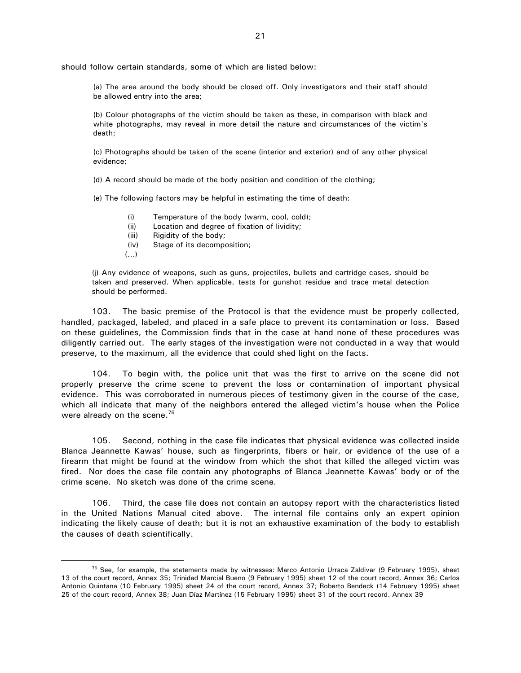should follow certain standards, some of which are listed below:

(a) The area around the body should be closed off. Only investigators and their staff should be allowed entry into the area;

(b) Colour photographs of the victim should be taken as these, in comparison with black and white photographs, may reveal in more detail the nature and circumstances of the victim's death;

(c) Photographs should be taken of the scene (interior and exterior) and of any other physical evidence;

(d) A record should be made of the body position and condition of the clothing;

(e) The following factors may be helpful in estimating the time of death:

- (i) Temperature of the body (warm, cool, cold);
- (ii) Location and degree of fixation of lividity;
- (iii) Rigidity of the body:
- (iv) Stage of its decomposition;
- (...)

 $\overline{a}$ 

(j) Any evidence of weapons, such as guns, projectiles, bullets and cartridge cases, should be taken and preserved. When applicable, tests for gunshot residue and trace metal detection should be performed.

103. The basic premise of the Protocol is that the evidence must be properly collected, handled, packaged, labeled, and placed in a safe place to prevent its contamination or loss. Based on these guidelines, the Commission finds that in the case at hand none of these procedures was diligently carried out. The early stages of the investigation were not conducted in a way that would preserve, to the maximum, all the evidence that could shed light on the facts.

104. To begin with, the police unit that was the first to arrive on the scene did not properly preserve the crime scene to prevent the loss or contamination of important physical evidence. This was corroborated in numerous pieces of testimony given in the course of the case, which all indicate that many of the neighbors entered the alleged victim's house when the Police were already on the scene.<sup>76</sup>

105. Second, nothing in the case file indicates that physical evidence was collected inside Blanca Jeannette Kawas' house, such as fingerprints, fibers or hair, or evidence of the use of a firearm that might be found at the window from which the shot that killed the alleged victim was fired. Nor does the case file contain any photographs of Blanca Jeannette Kawas' body or of the crime scene. No sketch was done of the crime scene.

106. Third, the case file does not contain an autopsy report with the characteristics listed in the United Nations Manual cited above. The internal file contains only an expert opinion indicating the likely cause of death; but it is not an exhaustive examination of the body to establish the causes of death scientifically.

 $76$  See, for example, the statements made by witnesses: Marco Antonio Urraca Zaldivar (9 February 1995), sheet 13 of the court record, Annex 35; Trinidad Marcial Bueno (9 February 1995) sheet 12 of the court record, Annex 36; Carlos Antonio Quintana (10 February 1995) sheet 24 of the court record, Annex 37; Roberto Bendeck (14 February 1995) sheet 25 of the court record, Annex 38; Juan Díaz Martínez (15 February 1995) sheet 31 of the court record. Annex 39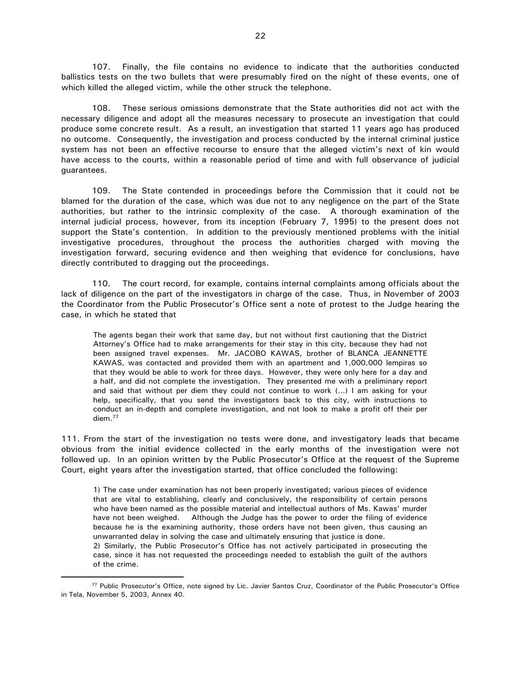107. Finally, the file contains no evidence to indicate that the authorities conducted ballistics tests on the two bullets that were presumably fired on the night of these events, one of which killed the alleged victim, while the other struck the telephone.

108. These serious omissions demonstrate that the State authorities did not act with the necessary diligence and adopt all the measures necessary to prosecute an investigation that could produce some concrete result. As a result, an investigation that started 11 years ago has produced no outcome. Consequently, the investigation and process conducted by the internal criminal justice system has not been an effective recourse to ensure that the alleged victim's next of kin would have access to the courts, within a reasonable period of time and with full observance of judicial guarantees.

109. The State contended in proceedings before the Commission that it could not be blamed for the duration of the case, which was due not to any negligence on the part of the State authorities, but rather to the intrinsic complexity of the case. A thorough examination of the internal judicial process, however, from its inception (February 7, 1995) to the present does not support the State's contention. In addition to the previously mentioned problems with the initial investigative procedures, throughout the process the authorities charged with moving the investigation forward, securing evidence and then weighing that evidence for conclusions, have directly contributed to dragging out the proceedings.

110. The court record, for example, contains internal complaints among officials about the lack of diligence on the part of the investigators in charge of the case. Thus, in November of 2003 the Coordinator from the Public Prosecutor's Office sent a note of protest to the Judge hearing the case, in which he stated that

The agents began their work that same day, but not without first cautioning that the District Attorney's Office had to make arrangements for their stay in this city, because they had not been assigned travel expenses. Mr. JACOBO KAWAS, brother of BLANCA JEANNETTE KAWAS, was contacted and provided them with an apartment and 1,000,000 lempiras so that they would be able to work for three days. However, they were only here for a day and a half, and did not complete the investigation. They presented me with a preliminary report and said that without per diem they could not continue to work (…) I am asking for your help, specifically, that you send the investigators back to this city, with instructions to conduct an in-depth and complete investigation, and not look to make a profit off their per diem.<sup>77</sup>

111. From the start of the investigation no tests were done, and investigatory leads that became obvious from the initial evidence collected in the early months of the investigation were not followed up. In an opinion written by the Public Prosecutor's Office at the request of the Supreme Court, eight years after the investigation started, that office concluded the following:

1) The case under examination has not been properly investigated; various pieces of evidence that are vital to establishing, clearly and conclusively, the responsibility of certain persons who have been named as the possible material and intellectual authors of Ms. Kawas' murder have not been weighed. Although the Judge has the power to order the filing of evidence because he is the examining authority, those orders have not been given, thus causing an unwarranted delay in solving the case and ultimately ensuring that justice is done.

2) Similarly, the Public Prosecutor's Office has not actively participated in prosecuting the case, since it has not requested the proceedings needed to establish the guilt of the authors of the crime.

<sup>77</sup> Public Prosecutor's Office, note signed by Lic. Javier Santos Cruz, Coordinator of the Public Prosecutor's Office in Tela, November 5, 2003, Annex 40.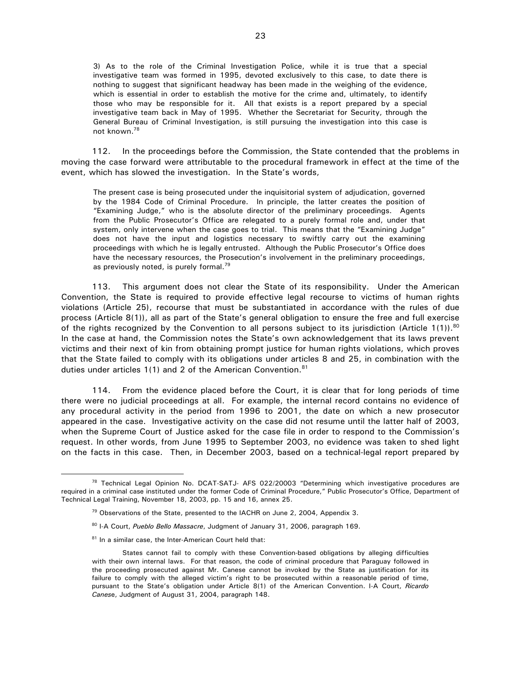3) As to the role of the Criminal Investigation Police, while it is true that a special investigative team was formed in 1995, devoted exclusively to this case, to date there is nothing to suggest that significant headway has been made in the weighing of the evidence, which is essential in order to establish the motive for the crime and, ultimately, to identify those who may be responsible for it. All that exists is a report prepared by a special investigative team back in May of 1995. Whether the Secretariat for Security, through the General Bureau of Criminal Investigation, is still pursuing the investigation into this case is not known.<sup>78</sup>

112. In the proceedings before the Commission, the State contended that the problems in moving the case forward were attributable to the procedural framework in effect at the time of the event, which has slowed the investigation. In the State's words,

The present case is being prosecuted under the inquisitorial system of adjudication, governed by the 1984 Code of Criminal Procedure. In principle, the latter creates the position of "Examining Judge," who is the absolute director of the preliminary proceedings. Agents from the Public Prosecutor's Office are relegated to a purely formal role and, under that system, only intervene when the case goes to trial. This means that the "Examining Judge" does not have the input and logistics necessary to swiftly carry out the examining proceedings with which he is legally entrusted. Although the Public Prosecutor's Office does have the necessary resources, the Prosecution's involvement in the preliminary proceedings, as previously noted, is purely formal.<sup>79</sup>

113. This argument does not clear the State of its responsibility. Under the American Convention, the State is required to provide effective legal recourse to victims of human rights violations (Article 25), recourse that must be substantiated in accordance with the rules of due process (Article 8(1)), all as part of the State's general obligation to ensure the free and full exercise of the rights recognized by the Convention to all persons subject to its jurisdiction (Article 1(1)).<sup>80</sup> In the case at hand, the Commission notes the State's own acknowledgement that its laws prevent victims and their next of kin from obtaining prompt justice for human rights violations, which proves that the State failed to comply with its obligations under articles 8 and 25, in combination with the duties under articles 1(1) and 2 of the American Convention.<sup>81</sup>

114. From the evidence placed before the Court, it is clear that for long periods of time there were no judicial proceedings at all. For example, the internal record contains no evidence of any procedural activity in the period from 1996 to 2001, the date on which a new prosecutor appeared in the case. Investigative activity on the case did not resume until the latter half of 2003, when the Supreme Court of Justice asked for the case file in order to respond to the Commission's request. In other words, from June 1995 to September 2003, no evidence was taken to shed light on the facts in this case. Then, in December 2003, based on a technical-legal report prepared by

 $78$  Technical Legal Opinion No. DCAT-SATJ- AFS 022/20003 "Determining which investigative procedures are required in a criminal case instituted under the former Code of Criminal Procedure," Public Prosecutor's Office, Department of Technical Legal Training, November 18, 2003, pp. 15 and 16, annex 25.

<sup>&</sup>lt;sup>79</sup> Observations of the State, presented to the IACHR on June 2, 2004, Appendix 3.

<sup>80</sup> I-A Court, *Pueblo Bello Massacre*, Judgment of January 31, 2006, paragraph 169.

<sup>81</sup> In a similar case, the Inter-American Court held that:

States cannot fail to comply with these Convention-based obligations by alleging difficulties with their own internal laws. For that reason, the code of criminal procedure that Paraguay followed in the proceeding prosecuted against Mr. Canese cannot be invoked by the State as justification for its failure to comply with the alleged victim's right to be prosecuted within a reasonable period of time, pursuant to the State's obligation under Article 8(1) of the American Convention. I-A Court, *Ricardo Canes*e, Judgment of August 31, 2004, paragraph 148.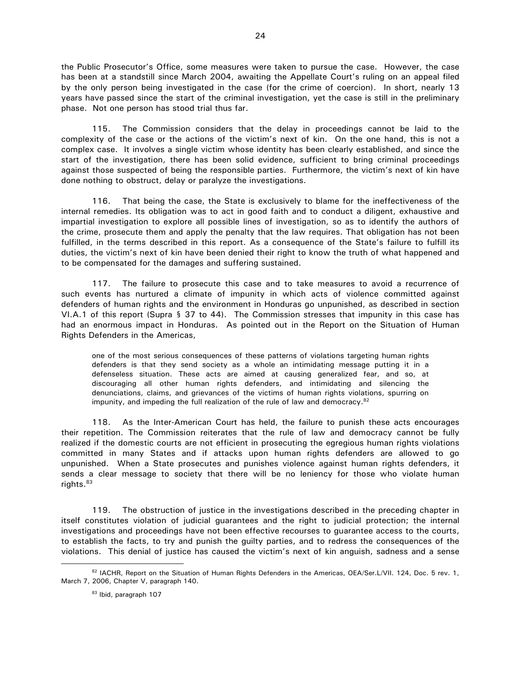the Public Prosecutor's Office, some measures were taken to pursue the case. However, the case has been at a standstill since March 2004, awaiting the Appellate Court's ruling on an appeal filed by the only person being investigated in the case (for the crime of coercion). In short, nearly 13 years have passed since the start of the criminal investigation, yet the case is still in the preliminary phase. Not one person has stood trial thus far.

115. The Commission considers that the delay in proceedings cannot be laid to the complexity of the case or the actions of the victim's next of kin. On the one hand, this is not a complex case. It involves a single victim whose identity has been clearly established, and since the start of the investigation, there has been solid evidence, sufficient to bring criminal proceedings against those suspected of being the responsible parties. Furthermore, the victim's next of kin have done nothing to obstruct, delay or paralyze the investigations.

116. That being the case, the State is exclusively to blame for the ineffectiveness of the internal remedies. Its obligation was to act in good faith and to conduct a diligent, exhaustive and impartial investigation to explore all possible lines of investigation, so as to identify the authors of the crime, prosecute them and apply the penalty that the law requires. That obligation has not been fulfilled, in the terms described in this report. As a consequence of the State's failure to fulfill its duties, the victim's next of kin have been denied their right to know the truth of what happened and to be compensated for the damages and suffering sustained.

117. The failure to prosecute this case and to take measures to avoid a recurrence of such events has nurtured a climate of impunity in which acts of violence committed against defenders of human rights and the environment in Honduras go unpunished, as described in section VI.A.1 of this report (Supra § 37 to 44). The Commission stresses that impunity in this case has had an enormous impact in Honduras. As pointed out in the Report on the Situation of Human Rights Defenders in the Americas,

one of the most serious consequences of these patterns of violations targeting human rights defenders is that they send society as a whole an intimidating message putting it in a defenseless situation. These acts are aimed at causing generalized fear, and so, at discouraging all other human rights defenders, and intimidating and silencing the denunciations, claims, and grievances of the victims of human rights violations, spurring on impunity, and impeding the full realization of the rule of law and democracy. $82$ 

118. As the Inter-American Court has held, the failure to punish these acts encourages their repetition. The Commission reiterates that the rule of law and democracy cannot be fully realized if the domestic courts are not efficient in prosecuting the egregious human rights violations committed in many States and if attacks upon human rights defenders are allowed to go unpunished. When a State prosecutes and punishes violence against human rights defenders, it sends a clear message to society that there will be no leniency for those who violate human rights.<sup>83</sup>

119. The obstruction of justice in the investigations described in the preceding chapter in itself constitutes violation of judicial guarantees and the right to judicial protection; the internal investigations and proceedings have not been effective recourses to guarantee access to the courts, to establish the facts, to try and punish the guilty parties, and to redress the consequences of the violations. This denial of justice has caused the victim's next of kin anguish, sadness and a sense  $\overline{a}$ 

<sup>82</sup> IACHR, Report on the Situation of Human Rights Defenders in the Americas, OEA/Ser.L/VII. 124, Doc. 5 rev. 1, March 7, 2006, Chapter V, paragraph 140.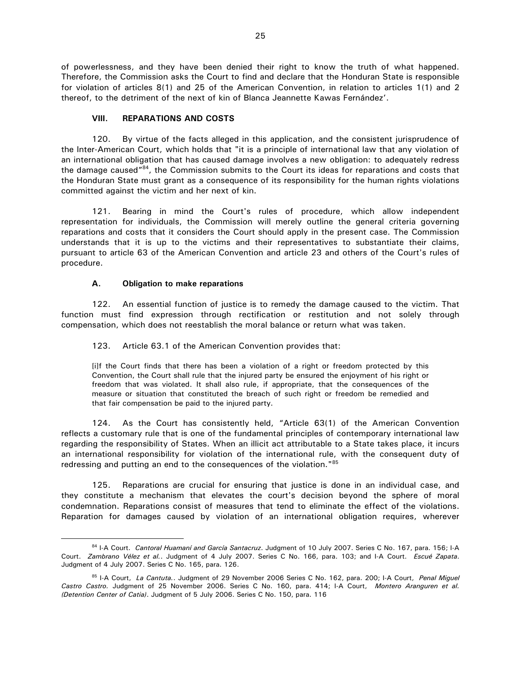of powerlessness, and they have been denied their right to know the truth of what happened. Therefore, the Commission asks the Court to find and declare that the Honduran State is responsible for violation of articles 8(1) and 25 of the American Convention, in relation to articles 1(1) and 2 thereof, to the detriment of the next of kin of Blanca Jeannette Kawas Fernández'.

# **VIII. REPARATIONS AND COSTS**

120. By virtue of the facts alleged in this application, and the consistent jurisprudence of the Inter-American Court, which holds that "it is a principle of international law that any violation of an international obligation that has caused damage involves a new obligation: to adequately redress the damage caused"<sup>84</sup>, the Commission submits to the Court its ideas for reparations and costs that the Honduran State must grant as a consequence of its responsibility for the human rights violations committed against the victim and her next of kin.

121. Bearing in mind the Court's rules of procedure, which allow independent representation for individuals, the Commission will merely outline the general criteria governing reparations and costs that it considers the Court should apply in the present case. The Commission understands that it is up to the victims and their representatives to substantiate their claims, pursuant to article 63 of the American Convention and article 23 and others of the Court's rules of procedure.

#### **A. Obligation to make reparations**

 $\overline{a}$ 

122. An essential function of justice is to remedy the damage caused to the victim. That function must find expression through rectification or restitution and not solely through compensation, which does not reestablish the moral balance or return what was taken.

123. Article 63.1 of the American Convention provides that:

[i]f the Court finds that there has been a violation of a right or freedom protected by this Convention, the Court shall rule that the injured party be ensured the enjoyment of his right or freedom that was violated. It shall also rule, if appropriate, that the consequences of the measure or situation that constituted the breach of such right or freedom be remedied and that fair compensation be paid to the injured party.

124. As the Court has consistently held, "Article 63(1) of the American Convention reflects a customary rule that is one of the fundamental principles of contemporary international law regarding the responsibility of States. When an illicit act attributable to a State takes place, it incurs an international responsibility for violation of the international rule, with the consequent duty of redressing and putting an end to the consequences of the violation."<sup>85</sup>

125. Reparations are crucial for ensuring that justice is done in an individual case, and they constitute a mechanism that elevates the court's decision beyond the sphere of moral condemnation. Reparations consist of measures that tend to eliminate the effect of the violations. Reparation for damages caused by violation of an international obligation requires, wherever

<sup>84</sup> I-A Court. Cantoral Huamaní and García Santacruz. Judgment of 10 July 2007. Series C No. 167, para. 156; I-A Court. *Zambrano Vélez et al.*. Judgment of 4 July 2007. Series C No. 166, para. 103; and I-A Court. *Escué Zapata*. Judgment of 4 July 2007. Series C No. 165, para. 126.

<sup>85</sup> I-A Court, *La Cantuta.*. Judgment of 29 November 2006 Series C No. 162, para. 200; I-A Court, *Penal Miguel Castro Castro.* Judgment of 25 November 2006. Series C No. 160, para. 414; I-A Court, *Montero Aranguren et al. (Detention Center of Catia)*. Judgment of 5 July 2006. Series C No. 150, para. 116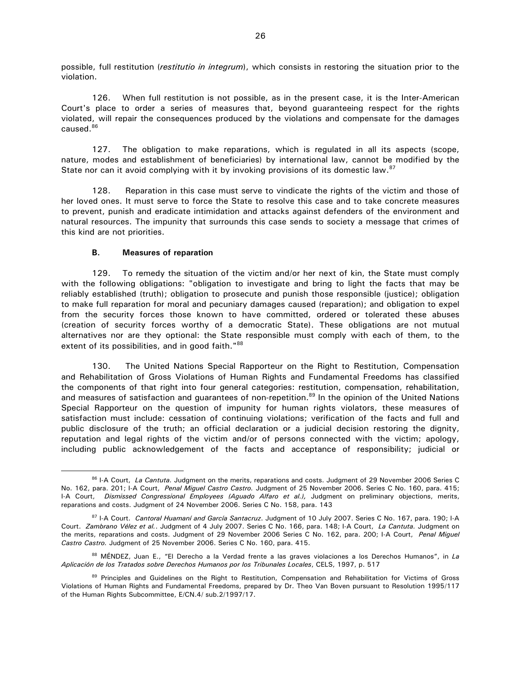possible, full restitution (*restitutio in integrum*), which consists in restoring the situation prior to the violation.

126. When full restitution is not possible, as in the present case, it is the Inter-American Court's place to order a series of measures that, beyond guaranteeing respect for the rights violated, will repair the consequences produced by the violations and compensate for the damages caused.<sup>86</sup>

127. The obligation to make reparations, which is regulated in all its aspects (scope, nature, modes and establishment of beneficiaries) by international law, cannot be modified by the State nor can it avoid complying with it by invoking provisions of its domestic law. $87$ 

128. Reparation in this case must serve to vindicate the rights of the victim and those of her loved ones. It must serve to force the State to resolve this case and to take concrete measures to prevent, punish and eradicate intimidation and attacks against defenders of the environment and natural resources. The impunity that surrounds this case sends to society a message that crimes of this kind are not priorities.

#### **B. Measures of reparation**

 $\overline{a}$ 

129. To remedy the situation of the victim and/or her next of kin, the State must comply with the following obligations: "obligation to investigate and bring to light the facts that may be reliably established (truth); obligation to prosecute and punish those responsible (justice); obligation to make full reparation for moral and pecuniary damages caused (reparation); and obligation to expel from the security forces those known to have committed, ordered or tolerated these abuses (creation of security forces worthy of a democratic State). These obligations are not mutual alternatives nor are they optional: the State responsible must comply with each of them, to the extent of its possibilities, and in good faith."88

130. The United Nations Special Rapporteur on the Right to Restitution, Compensation and Rehabilitation of Gross Violations of Human Rights and Fundamental Freedoms has classified the components of that right into four general categories: restitution, compensation, rehabilitation, and measures of satisfaction and guarantees of non-repetition.<sup>89</sup> In the opinion of the United Nations Special Rapporteur on the question of impunity for human rights violators, these measures of satisfaction must include: cessation of continuing violations; verification of the facts and full and public disclosure of the truth; an official declaration or a judicial decision restoring the dignity, reputation and legal rights of the victim and/or of persons connected with the victim; apology, including public acknowledgement of the facts and acceptance of responsibility; judicial or

<sup>86</sup> I-A Court, *La Cantuta*. Judgment on the merits, reparations and costs. Judgment of 29 November 2006 Series C No. 162, para. 201; I-A Court, *Penal Miguel Castro Castro.* Judgment of 25 November 2006. Series C No. 160, para. 415; I-A Court, *Dismissed Congressional Employees (Aguado Alfaro et al.),* Judgment on preliminary objections, merits, reparations and costs. Judgment of 24 November 2006. Series C No. 158, para. 143

<sup>87</sup> I-A Court. *Cantoral Huamaní and García Santacruz*. Judgment of 10 July 2007. Series C No. 167, para. 190; I-A Court. *Zambrano Vélez et al.*. Judgment of 4 July 2007. Series C No. 166, para. 148; I-A Court, *La Cantuta.* Judgment on the merits, reparations and costs. Judgment of 29 November 2006 Series C No. 162, para. 200; I-A Court, *Penal Miguel Castro Castro.* Judgment of 25 November 2006. Series C No. 160, para. 415.

<sup>88</sup> MÉNDEZ, Juan E., "El Derecho a la Verdad frente a las graves violaciones a los Derechos Humanos", in *La Aplicación de los Tratados sobre Derechos Humanos por los Tribunales Locales*, CELS, 1997, p. 517

<sup>89</sup> Principles and Guidelines on the Right to Restitution, Compensation and Rehabilitation for Victims of Gross Violations of Human Rights and Fundamental Freedoms, prepared by Dr. Theo Van Boven pursuant to Resolution 1995/117 of the Human Rights Subcommittee, E/CN.4/ sub.2/1997/17.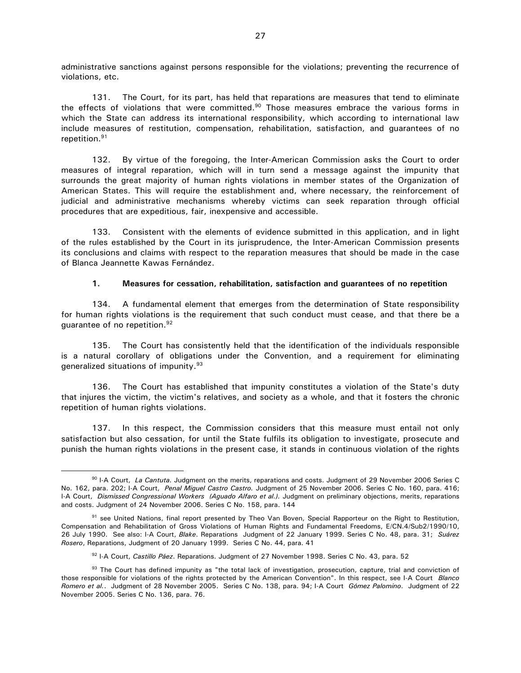administrative sanctions against persons responsible for the violations; preventing the recurrence of violations, etc.

131. The Court, for its part, has held that reparations are measures that tend to eliminate the effects of violations that were committed.<sup>90</sup> Those measures embrace the various forms in which the State can address its international responsibility, which according to international law include measures of restitution, compensation, rehabilitation, satisfaction, and guarantees of no repetition.<sup>91</sup>

132. By virtue of the foregoing, the Inter-American Commission asks the Court to order measures of integral reparation, which will in turn send a message against the impunity that surrounds the great majority of human rights violations in member states of the Organization of American States. This will require the establishment and, where necessary, the reinforcement of judicial and administrative mechanisms whereby victims can seek reparation through official procedures that are expeditious, fair, inexpensive and accessible.

133. Consistent with the elements of evidence submitted in this application, and in light of the rules established by the Court in its jurisprudence, the Inter-American Commission presents its conclusions and claims with respect to the reparation measures that should be made in the case of Blanca Jeannette Kawas Fernández.

#### **1. Measures for cessation, rehabilitation, satisfaction and guarantees of no repetition**

134. A fundamental element that emerges from the determination of State responsibility for human rights violations is the requirement that such conduct must cease, and that there be a guarantee of no repetition.<sup>92</sup>

135. The Court has consistently held that the identification of the individuals responsible is a natural corollary of obligations under the Convention, and a requirement for eliminating generalized situations of impunity.<sup>93</sup>

136. The Court has established that impunity constitutes a violation of the State's duty that injures the victim, the victim's relatives, and society as a whole, and that it fosters the chronic repetition of human rights violations.

137. In this respect, the Commission considers that this measure must entail not only satisfaction but also cessation, for until the State fulfils its obligation to investigate, prosecute and punish the human rights violations in the present case, it stands in continuous violation of the rights

<sup>90</sup> I-A Court, *La Cantuta.* Judgment on the merits, reparations and costs. Judgment of 29 November 2006 Series C No. 162, para. 202; I-A Court, *Penal Miguel Castro Castro.* Judgment of 25 November 2006. Series C No. 160, para. 416; I-A Court, *Dismissed Congressional Workers (Aguado Alfaro et al.).* Judgment on preliminary objections, merits, reparations and costs. Judgment of 24 November 2006. Series C No. 158, para. 144

<sup>91</sup> see United Nations, final report presented by Theo Van Boven, Special Rapporteur on the Right to Restitution, Compensation and Rehabilitation of Gross Violations of Human Rights and Fundamental Freedoms, E/CN.4/Sub2/1990/10, 26 July 1990. See also: I-A Court, *Blake*. Reparations Judgment of 22 January 1999. Series C No. 48, para. 31; *Suárez Rosero*, Reparations, Judgment of 20 January 1999. Series C No. 44, para. 41

<sup>92</sup> I-A Court, *Castillo Páez*. Reparations. Judgment of 27 November 1998. Series C No. 43, para. 52

<sup>93</sup> The Court has defined impunity as "the total lack of investigation, prosecution, capture, trial and conviction of those responsible for violations of the rights protected by the American Convention". In this respect, see I-A Court *Blanco Romero et al.*. Judgment of 28 November 2005. Series C No. 138, para. 94; I-A Court *Gómez Palomino*. Judgment of 22 November 2005. Series C No. 136, para. 76.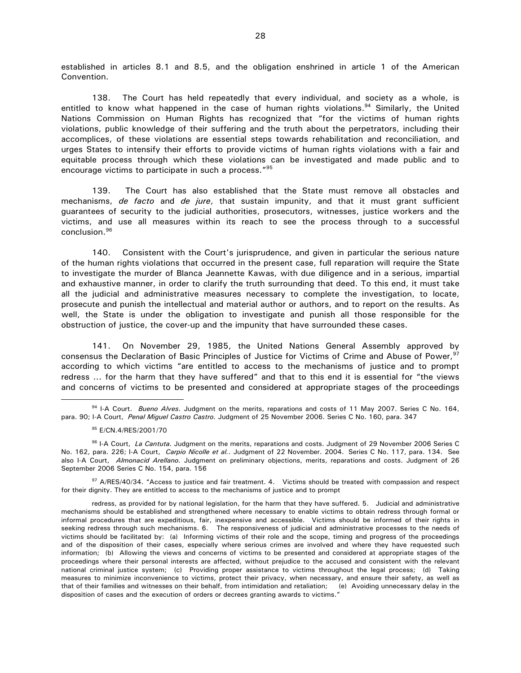established in articles 8.1 and 8.5, and the obligation enshrined in article 1 of the American Convention.

138. The Court has held repeatedly that every individual, and society as a whole, is entitled to know what happened in the case of human rights violations.<sup>94</sup> Similarly, the United Nations Commission on Human Rights has recognized that "for the victims of human rights violations, public knowledge of their suffering and the truth about the perpetrators, including their accomplices, of these violations are essential steps towards rehabilitation and reconciliation, and urges States to intensify their efforts to provide victims of human rights violations with a fair and equitable process through which these violations can be investigated and made public and to encourage victims to participate in such a process." 95

139. The Court has also established that the State must remove all obstacles and mechanisms, *de facto* and *de jure*, that sustain impunity, and that it must grant sufficient guarantees of security to the judicial authorities, prosecutors, witnesses, justice workers and the victims, and use all measures within its reach to see the process through to a successful conclusion.<sup>96</sup>

140. Consistent with the Court's jurisprudence, and given in particular the serious nature of the human rights violations that occurred in the present case, full reparation will require the State to investigate the murder of Blanca Jeannette Kawas, with due diligence and in a serious, impartial and exhaustive manner, in order to clarify the truth surrounding that deed. To this end, it must take all the judicial and administrative measures necessary to complete the investigation, to locate, prosecute and punish the intellectual and material author or authors, and to report on the results. As well, the State is under the obligation to investigate and punish all those responsible for the obstruction of justice, the cover-up and the impunity that have surrounded these cases.

141. On November 29, 1985, the United Nations General Assembly approved by consensus the Declaration of Basic Principles of Justice for Victims of Crime and Abuse of Power, <sup>97</sup> according to which victims "are entitled to access to the mechanisms of justice and to prompt redress ... for the harm that they have suffered" and that to this end it is essential for "the views and concerns of victims to be presented and considered at appropriate stages of the proceedings  $\overline{a}$ 

<sup>97</sup> A/RES/40/34. "Access to justice and fair treatment. 4. Victims should be treated with compassion and respect for their dignity. They are entitled to access to the mechanisms of justice and to prompt

<sup>94</sup> I-A Court. *Bueno Alves*. Judgment on the merits, reparations and costs of 11 May 2007. Series C No. 164, para. 90; I-A Court, *Penal Miguel Castro Castro.* Judgment of 25 November 2006. Series C No. 160, para. 347

<sup>95</sup> E/CN.4/RES/2001/70

<sup>96</sup> I-A Court, *La Cantuta.* Judgment on the merits, reparations and costs. Judgment of 29 November 2006 Series C No. 162, para. 226; I-A Court, *Carpio Nicolle et al.*. Judgment of 22 November. 2004. Series C No. 117, para. 134. See also I-A Court, *Almonacid Arellano.* Judgment on preliminary objections, merits, reparations and costs. Judgment of 26 September 2006 Series C No. 154, para. 156

redress, as provided for by national legislation, for the harm that they have suffered. 5. Judicial and administrative mechanisms should be established and strengthened where necessary to enable victims to obtain redress through formal or informal procedures that are expeditious, fair, inexpensive and accessible. Victims should be informed of their rights in seeking redress through such mechanisms. 6. The responsiveness of judicial and administrative processes to the needs of victims should be facilitated by: (a) Informing victims of their role and the scope, timing and progress of the proceedings and of the disposition of their cases, especially where serious crimes are involved and where they have requested such information; (b) Allowing the views and concerns of victims to be presented and considered at appropriate stages of the proceedings where their personal interests are affected, without prejudice to the accused and consistent with the relevant national criminal justice system; (c) Providing proper assistance to victims throughout the legal process; (d) Taking measures to minimize inconvenience to victims, protect their privacy, when necessary, and ensure their safety, as well as that of their families and witnesses on their behalf, from intimidation and retaliation; (e) Avoiding unnecessary delay in the disposition of cases and the execution of orders or decrees granting awards to victims."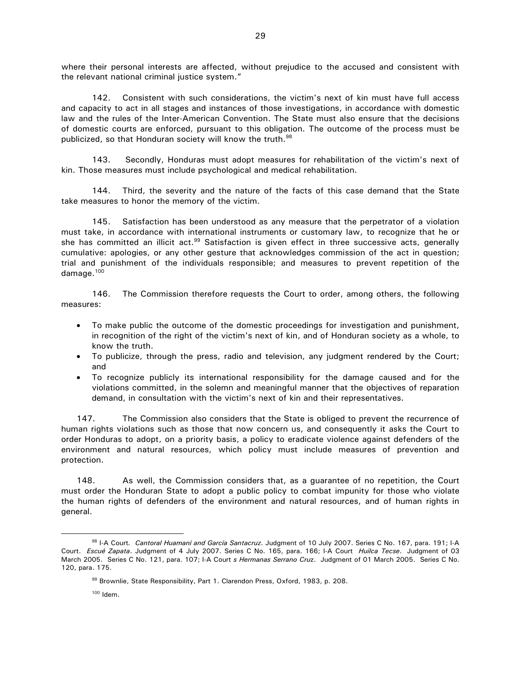where their personal interests are affected, without prejudice to the accused and consistent with the relevant national criminal justice system."

142. Consistent with such considerations, the victim's next of kin must have full access and capacity to act in all stages and instances of those investigations, in accordance with domestic law and the rules of the Inter-American Convention. The State must also ensure that the decisions of domestic courts are enforced, pursuant to this obligation. The outcome of the process must be publicized, so that Honduran society will know the truth.<sup>98</sup>

143. Secondly, Honduras must adopt measures for rehabilitation of the victim's next of kin. Those measures must include psychological and medical rehabilitation.

144. Third, the severity and the nature of the facts of this case demand that the State take measures to honor the memory of the victim.

145. Satisfaction has been understood as any measure that the perpetrator of a violation must take, in accordance with international instruments or customary law, to recognize that he or she has committed an illicit act.<sup>99</sup> Satisfaction is given effect in three successive acts, generally cumulative: apologies, or any other gesture that acknowledges commission of the act in question; trial and punishment of the individuals responsible; and measures to prevent repetition of the damage.<sup>100</sup>

146. The Commission therefore requests the Court to order, among others, the following measures:

- To make public the outcome of the domestic proceedings for investigation and punishment, in recognition of the right of the victim's next of kin, and of Honduran society as a whole, to know the truth.
- To publicize, through the press, radio and television, any judgment rendered by the Court; and
- To recognize publicly its international responsibility for the damage caused and for the violations committed, in the solemn and meaningful manner that the objectives of reparation demand, in consultation with the victim's next of kin and their representatives.

147. The Commission also considers that the State is obliged to prevent the recurrence of human rights violations such as those that now concern us, and consequently it asks the Court to order Honduras to adopt, on a priority basis, a policy to eradicate violence against defenders of the environment and natural resources, which policy must include measures of prevention and protection.

148. As well, the Commission considers that, as a guarantee of no repetition, the Court must order the Honduran State to adopt a public policy to combat impunity for those who violate the human rights of defenders of the environment and natural resources, and of human rights in general.

<sup>98</sup> I-A Court*. Cantoral Huamaní and García Santacruz*. Judgment of 10 July 2007. Series C No. 167, para. 191; I-A Court. *Escué Zapata*. Judgment of 4 July 2007. Series C No. 165, para. 166; I-A Court *Huilca Tecse*. Judgment of 03 March 2005. Series C No. 121, para. 107; I-A Court *s Hermanas Serrano Cru*z. Judgment of 01 March 2005. Series C No. 120, para. 175.

<sup>99</sup> Brownlie, State Responsibility, Part 1. Clarendon Press, Oxford, 1983, p. 208.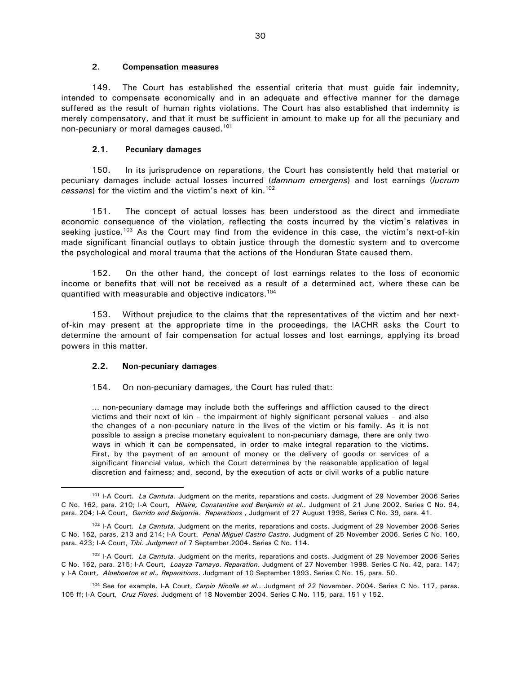#### **2. Compensation measures**

149. The Court has established the essential criteria that must guide fair indemnity, intended to compensate economically and in an adequate and effective manner for the damage suffered as the result of human rights violations. The Court has also established that indemnity is merely compensatory, and that it must be sufficient in amount to make up for all the pecuniary and non-pecuniary or moral damages caused.<sup>101</sup>

# **2.1. Pecuniary damages**

150. In its jurisprudence on reparations, the Court has consistently held that material or pecuniary damages include actual losses incurred (*damnum emergens*) and lost earnings (*lucrum cessans*) for the victim and the victim's next of kin.<sup>102</sup>

151. The concept of actual losses has been understood as the direct and immediate economic consequence of the violation, reflecting the costs incurred by the victim's relatives in seeking justice.<sup>103</sup> As the Court may find from the evidence in this case, the victim's next-of-kin made significant financial outlays to obtain justice through the domestic system and to overcome the psychological and moral trauma that the actions of the Honduran State caused them.

152. On the other hand, the concept of lost earnings relates to the loss of economic income or benefits that will not be received as a result of a determined act, where these can be quantified with measurable and objective indicators. 104

153. Without prejudice to the claims that the representatives of the victim and her nextof-kin may present at the appropriate time in the proceedings, the IACHR asks the Court to determine the amount of fair compensation for actual losses and lost earnings, applying its broad powers in this matter.

# **2.2. Non-pecuniary damages**

 $\overline{a}$ 

# 154. On non-pecuniary damages, the Court has ruled that:

... non-pecuniary damage may include both the sufferings and affliction caused to the direct victims and their next of kin – the impairment of highly significant personal values – and also the changes of a non-pecuniary nature in the lives of the victim or his family. As it is not possible to assign a precise monetary equivalent to non-pecuniary damage, there are only two ways in which it can be compensated, in order to make integral reparation to the victims. First, by the payment of an amount of money or the delivery of goods or services of a significant financial value, which the Court determines by the reasonable application of legal discretion and fairness; and, second, by the execution of acts or civil works of a public nature

<sup>101</sup> I-A Court. *La Cantuta.* Judgment on the merits, reparations and costs. Judgment of 29 November 2006 Series C No. 162, para. 210; I-A Court, *Hilaire, Constantine and Benjamin et al.*. Judgment of 21 June 2002. Series C No. 94, para. 204; I-A Court, *Garrido and Baigorria. Reparations* , Judgment of 27 August 1998, Series C No. 39, para. 41.

<sup>102</sup> I-A Court. *La Cantuta.* Judgment on the merits, reparations and costs. Judgment of 29 November 2006 Series C No. 162, paras. 213 and 214; I-A Court. *Penal Miguel Castro Castro.* Judgment of 25 November 2006. Series C No. 160, para. 423; I-A Court, *Tibi. Judgment of* 7 September 2004. Series C No. 114.

<sup>103</sup> I-A Court. *La Cantuta.* Judgment on the merits, reparations and costs. Judgment of 29 November 2006 Series C No. 162, para. 215; I-A Court, *Loayza Tamayo. Reparation*. Judgment of 27 November 1998. Series C No. 42, para. 147; y I-A Court, *Aloeboetoe et al.. Reparations*. Judgment of 10 September 1993. Series C No. 15, para. 50.

<sup>104</sup> See for example, I-A Court, *Carpio Nicolle et al.*. Judgment of 22 November. 2004. Series C No. 117, paras. 105 ff; I-A Court, *Cruz Flores*. Judgment of 18 November 2004. Series C No. 115, para. 151 y 152.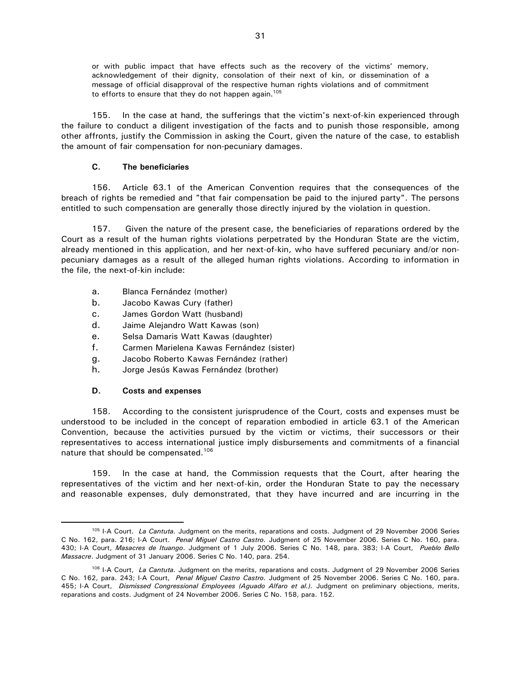or with public impact that have effects such as the recovery of the victims' memory, acknowledgement of their dignity, consolation of their next of kin, or dissemination of a message of official disapproval of the respective human rights violations and of commitment to efforts to ensure that they do not happen again.<sup>105</sup>

155. In the case at hand, the sufferings that the victim's next-of-kin experienced through the failure to conduct a diligent investigation of the facts and to punish those responsible, among other affronts, justify the Commission in asking the Court, given the nature of the case, to establish the amount of fair compensation for non-pecuniary damages.

#### **C. The beneficiaries**

156. Article 63.1 of the American Convention requires that the consequences of the breach of rights be remedied and "that fair compensation be paid to the injured party". The persons entitled to such compensation are generally those directly injured by the violation in question.

157. Given the nature of the present case, the beneficiaries of reparations ordered by the Court as a result of the human rights violations perpetrated by the Honduran State are the victim, already mentioned in this application, and her next-of-kin, who have suffered pecuniary and/or nonpecuniary damages as a result of the alleged human rights violations. According to information in the file, the next-of-kin include:

- a. Blanca Fernández (mother)
- b. Jacobo Kawas Cury (father)
- c. James Gordon Watt (husband)
- d. Jaime Alejandro Watt Kawas (son)
- e. Selsa Damaris Watt Kawas (daughter)
- f. Carmen Marielena Kawas Fernández (sister)
- g. Jacobo Roberto Kawas Fernández (rather)
- h. Jorge Jesús Kawas Fernández (brother)

# **D. Costs and expenses**

 $\overline{a}$ 

158. According to the consistent jurisprudence of the Court, costs and expenses must be understood to be included in the concept of reparation embodied in article 63.1 of the American Convention, because the activities pursued by the victim or victims, their successors or their representatives to access international justice imply disbursements and commitments of a financial nature that should be compensated.<sup>106</sup>

159. In the case at hand, the Commission requests that the Court, after hearing the representatives of the victim and her next-of-kin, order the Honduran State to pay the necessary and reasonable expenses, duly demonstrated, that they have incurred and are incurring in the

<sup>105</sup> I-A Court. *La Cantuta.* Judgment on the merits, reparations and costs. Judgment of 29 November 2006 Series C No. 162, para. 216; I-A Court. *Penal Miguel Castro Castro.* Judgment of 25 November 2006. Series C No. 160, para. 430; I-A Court, *Masacres de Ituango*. Judgment of 1 July 2006. Series C No. 148, para. 383; I-A Court, *Pueblo Bello Massacre*. Judgment of 31 January 2006. Series C No. 140, para. 254.

<sup>106</sup> I-A Court, *La Cantuta.* Judgment on the merits, reparations and costs. Judgment of 29 November 2006 Series C No. 162, para. 243; I-A Court, *Penal Miguel Castro Castro.* Judgment of 25 November 2006. Series C No. 160, para. 455; I-A Court, *Dismissed Congressional Employees (Aguado Alfaro et al.).* Judgment on preliminary objections, merits, reparations and costs. Judgment of 24 November 2006. Series C No. 158, para. 152.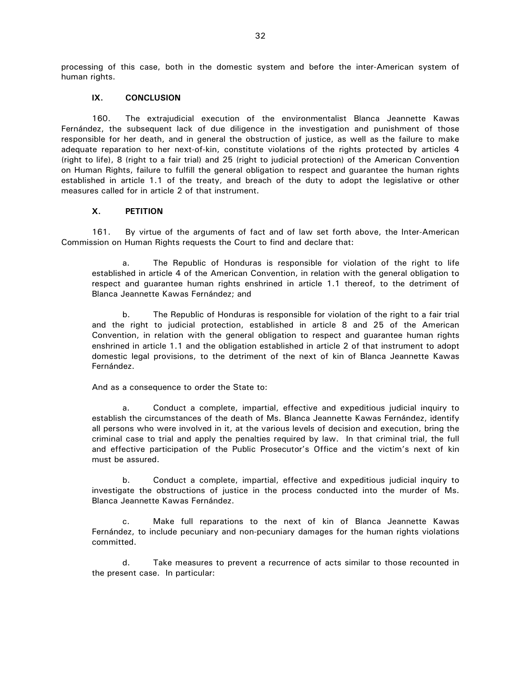processing of this case, both in the domestic system and before the inter-American system of human rights.

#### **IX. CONCLUSION**

160. The extrajudicial execution of the environmentalist Blanca Jeannette Kawas Fernández, the subsequent lack of due diligence in the investigation and punishment of those responsible for her death, and in general the obstruction of justice, as well as the failure to make adequate reparation to her next-of-kin, constitute violations of the rights protected by articles 4 (right to life), 8 (right to a fair trial) and 25 (right to judicial protection) of the American Convention on Human Rights, failure to fulfill the general obligation to respect and guarantee the human rights established in article 1.1 of the treaty, and breach of the duty to adopt the legislative or other measures called for in article 2 of that instrument.

#### **X. PETITION**

161. By virtue of the arguments of fact and of law set forth above, the Inter-American Commission on Human Rights requests the Court to find and declare that:

a. The Republic of Honduras is responsible for violation of the right to life established in article 4 of the American Convention, in relation with the general obligation to respect and guarantee human rights enshrined in article 1.1 thereof, to the detriment of Blanca Jeannette Kawas Fernández; and

b. The Republic of Honduras is responsible for violation of the right to a fair trial and the right to judicial protection, established in article 8 and 25 of the American Convention, in relation with the general obligation to respect and guarantee human rights enshrined in article 1.1 and the obligation established in article 2 of that instrument to adopt domestic legal provisions, to the detriment of the next of kin of Blanca Jeannette Kawas Fernández.

And as a consequence to order the State to:

a. Conduct a complete, impartial, effective and expeditious judicial inquiry to establish the circumstances of the death of Ms. Blanca Jeannette Kawas Fernández, identify all persons who were involved in it, at the various levels of decision and execution, bring the criminal case to trial and apply the penalties required by law. In that criminal trial, the full and effective participation of the Public Prosecutor's Office and the victim's next of kin must be assured.

b. Conduct a complete, impartial, effective and expeditious judicial inquiry to investigate the obstructions of justice in the process conducted into the murder of Ms. Blanca Jeannette Kawas Fernández.

c. Make full reparations to the next of kin of Blanca Jeannette Kawas Fernández, to include pecuniary and non-pecuniary damages for the human rights violations committed.

d. Take measures to prevent a recurrence of acts similar to those recounted in the present case. In particular: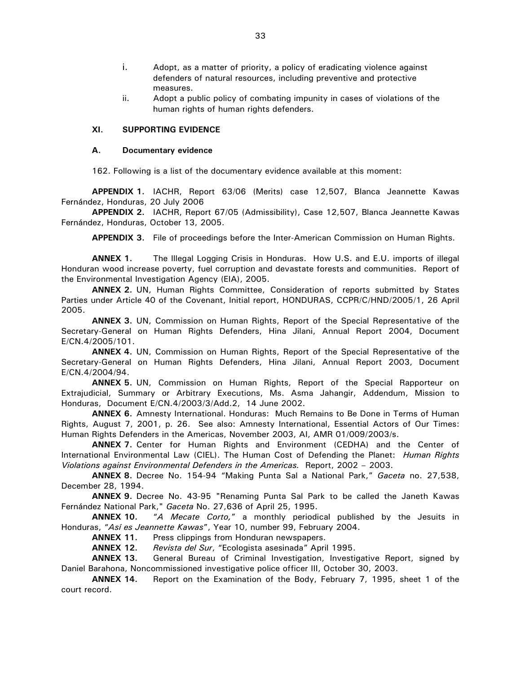- i. Adopt, as a matter of priority, a policy of eradicating violence against defenders of natural resources, including preventive and protective measures.
- ii. Adopt a public policy of combating impunity in cases of violations of the human rights of human rights defenders.

#### **XI. SUPPORTING EVIDENCE**

#### **A. Documentary evidence**

162. Following is a list of the documentary evidence available at this moment:

**APPENDIX 1.** IACHR, Report 63/06 (Merits) case 12,507, Blanca Jeannette Kawas Fernández, Honduras, 20 July 2006

**APPENDIX 2.** IACHR, Report 67/05 (Admissibility), Case 12,507, Blanca Jeannette Kawas Fernández, Honduras, October 13, 2005.

**APPENDIX 3.** File of proceedings before the Inter-American Commission on Human Rights.

**ANNEX 1.** The Illegal Logging Crisis in Honduras. How U.S. and E.U. imports of illegal Honduran wood increase poverty, fuel corruption and devastate forests and communities. Report of the Environmental Investigation Agency (EIA), 2005.

**ANNEX 2.** UN, Human Rights Committee, Consideration of reports submitted by States Parties under Article 40 of the Covenant, Initial report, HONDURAS, CCPR/C/HND/2005/1, 26 April 2005.

**ANNEX 3.** UN, Commission on Human Rights, Report of the Special Representative of the Secretary-General on Human Rights Defenders, Hina Jilani, Annual Report 2004, Document E/CN.4/2005/101.

**ANNEX 4.** UN, Commission on Human Rights, Report of the Special Representative of the Secretary-General on Human Rights Defenders, Hina Jilani, Annual Report 2003, Document E/CN.4/2004/94.

**ANNEX 5.** UN, Commission on Human Rights, Report of the Special Rapporteur on Extrajudicial, Summary or Arbitrary Executions, Ms. Asma Jahangir, Addendum, Mission to Honduras, Document E/CN.4/2003/3/Add.2, 14 June 2002.

**ANNEX 6.** Amnesty International. Honduras: Much Remains to Be Done in Terms of Human Rights, August 7, 2001, p. 26. See also: Amnesty International, Essential Actors of Our Times: Human Rights Defenders in the Americas, November 2003, AI, AMR 01/009/2003/s.

**ANNEX 7.** Center for Human Rights and Environment (CEDHA) and the Center of International Environmental Law (CIEL). The Human Cost of Defending the Planet: *Human Rights Violations against Environmental Defenders in the Americas.* Report, 2002 – 2003.

**ANNEX 8.** Decree No. 154-94 "Making Punta Sal a National Park," *Gaceta* no. 27,538, December 28, 1994.

**ANNEX 9.** Decree No. 43-95 "Renaming Punta Sal Park to be called the Janeth Kawas Fernández National Park," *Gaceta* No. 27,636 of April 25, 1995.

**ANNEX 10.** "*A Mecate Corto,*" a monthly periodical published by the Jesuits in Honduras, "*Así es Jeannette Kawas*", Year 10, number 99, February 2004.

**ANNEX 11.** Press clippings from Honduran newspapers.

**ANNEX 12.** *Revista del Sur*, "Ecologista asesinada" April 1995.

**ANNEX 13.** General Bureau of Criminal Investigation, Investigative Report, signed by Daniel Barahona, Noncommissioned investigative police officer III, October 30, 2003.

**ANNEX 14.** Report on the Examination of the Body, February 7, 1995, sheet 1 of the court record.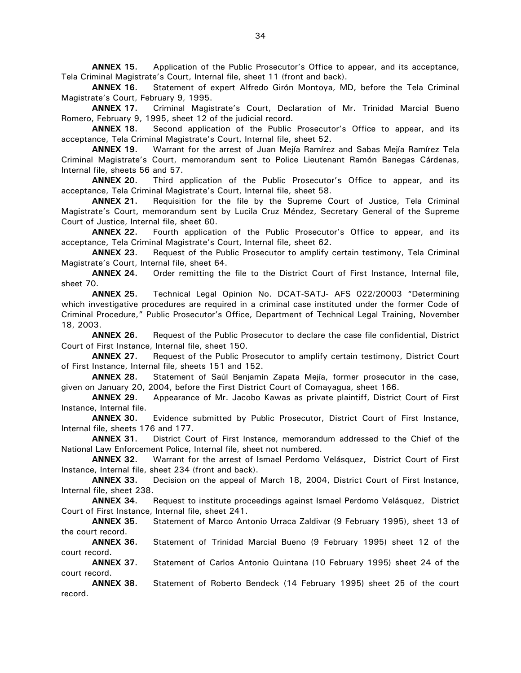**ANNEX 15.** Application of the Public Prosecutor's Office to appear, and its acceptance, Tela Criminal Magistrate's Court, Internal file, sheet 11 (front and back).

**ANNEX 16.** Statement of expert Alfredo Girón Montoya, MD, before the Tela Criminal Magistrate's Court, February 9, 1995.

**ANNEX 17.** Criminal Magistrate's Court, Declaration of Mr. Trinidad Marcial Bueno Romero, February 9, 1995, sheet 12 of the judicial record.

**ANNEX 18.** Second application of the Public Prosecutor's Office to appear, and its acceptance, Tela Criminal Magistrate's Court, Internal file, sheet 52.

**ANNEX 19.** Warrant for the arrest of Juan Mejía Ramírez and Sabas Mejía Ramírez Tela Criminal Magistrate's Court, memorandum sent to Police Lieutenant Ramón Banegas Cárdenas, Internal file, sheets 56 and 57.

**ANNEX 20.** Third application of the Public Prosecutor's Office to appear, and its acceptance, Tela Criminal Magistrate's Court, Internal file, sheet 58.

**ANNEX 21.** Requisition for the file by the Supreme Court of Justice, Tela Criminal Magistrate's Court, memorandum sent by Lucila Cruz Méndez, Secretary General of the Supreme Court of Justice, Internal file, sheet 60.

**ANNEX 22.** Fourth application of the Public Prosecutor's Office to appear, and its acceptance, Tela Criminal Magistrate's Court, Internal file, sheet 62.

**ANNEX 23.** Request of the Public Prosecutor to amplify certain testimony, Tela Criminal Magistrate's Court, Internal file, sheet 64.

**ANNEX 24.** Order remitting the file to the District Court of First Instance, Internal file, sheet 70.

**ANNEX 25.** Technical Legal Opinion No. DCAT-SATJ- AFS 022/20003 "Determining which investigative procedures are required in a criminal case instituted under the former Code of Criminal Procedure," Public Prosecutor's Office, Department of Technical Legal Training, November 18, 2003.

**ANNEX 26.** Request of the Public Prosecutor to declare the case file confidential, District Court of First Instance, Internal file, sheet 150.

**ANNEX 27.** Request of the Public Prosecutor to amplify certain testimony, District Court of First Instance, Internal file, sheets 151 and 152.

**ANNEX 28.** Statement of Saúl Benjamín Zapata Mejía, former prosecutor in the case, given on January 20, 2004, before the First District Court of Comayagua, sheet 166.

**ANNEX 29.** Appearance of Mr. Jacobo Kawas as private plaintiff, District Court of First Instance, Internal file.

**ANNEX 30.** Evidence submitted by Public Prosecutor, District Court of First Instance, Internal file, sheets 176 and 177.

**ANNEX 31.** District Court of First Instance, memorandum addressed to the Chief of the National Law Enforcement Police, Internal file, sheet not numbered.

**ANNEX 32.** Warrant for the arrest of Ismael Perdomo Velásquez, District Court of First Instance, Internal file, sheet 234 (front and back).

**ANNEX 33.** Decision on the appeal of March 18, 2004, District Court of First Instance, Internal file, sheet 238.

**ANNEX 34.** Request to institute proceedings against Ismael Perdomo Velásquez, District Court of First Instance, Internal file, sheet 241.

**ANNEX 35.** Statement of Marco Antonio Urraca Zaldivar (9 February 1995), sheet 13 of the court record.

**ANNEX 36.** Statement of Trinidad Marcial Bueno (9 February 1995) sheet 12 of the court record.

**ANNEX 37.** Statement of Carlos Antonio Quintana (10 February 1995) sheet 24 of the court record.

**ANNEX 38.** Statement of Roberto Bendeck (14 February 1995) sheet 25 of the court record.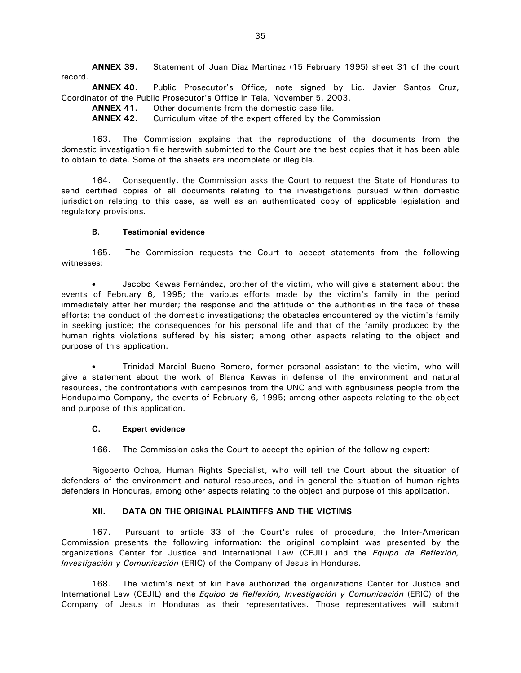**ANNEX 39.** Statement of Juan Díaz Martínez (15 February 1995) sheet 31 of the court record.

**ANNEX 40.** Public Prosecutor's Office, note signed by Lic. Javier Santos Cruz, Coordinator of the Public Prosecutor's Office in Tela, November 5, 2003.

**ANNEX 41.** Other documents from the domestic case file.

**ANNEX 42.** Curriculum vitae of the expert offered by the Commission

163. The Commission explains that the reproductions of the documents from the domestic investigation file herewith submitted to the Court are the best copies that it has been able to obtain to date. Some of the sheets are incomplete or illegible.

164. Consequently, the Commission asks the Court to request the State of Honduras to send certified copies of all documents relating to the investigations pursued within domestic jurisdiction relating to this case, as well as an authenticated copy of applicable legislation and regulatory provisions.

#### **B. Testimonial evidence**

165. The Commission requests the Court to accept statements from the following witnesses:

• Jacobo Kawas Fernández, brother of the victim, who will give a statement about the events of February 6, 1995; the various efforts made by the victim's family in the period immediately after her murder; the response and the attitude of the authorities in the face of these efforts; the conduct of the domestic investigations; the obstacles encountered by the victim's family in seeking justice; the consequences for his personal life and that of the family produced by the human rights violations suffered by his sister; among other aspects relating to the object and purpose of this application.

• Trinidad Marcial Bueno Romero, former personal assistant to the victim, who will give a statement about the work of Blanca Kawas in defense of the environment and natural resources, the confrontations with campesinos from the UNC and with agribusiness people from the Hondupalma Company, the events of February 6, 1995; among other aspects relating to the object and purpose of this application.

#### **C. Expert evidence**

166. The Commission asks the Court to accept the opinion of the following expert:

Rigoberto Ochoa, Human Rights Specialist, who will tell the Court about the situation of defenders of the environment and natural resources, and in general the situation of human rights defenders in Honduras, among other aspects relating to the object and purpose of this application.

# **XII. DATA ON THE ORIGINAL PLAINTIFFS AND THE VICTIMS**

167. Pursuant to article 33 of the Court's rules of procedure, the Inter-American Commission presents the following information: the original complaint was presented by the organizations Center for Justice and International Law (CEJIL) and the *Equipo de Reflexión, Investigación y Comunicación* (ERIC) of the Company of Jesus in Honduras.

168. The victim's next of kin have authorized the organizations Center for Justice and International Law (CEJIL) and the *Equipo de Reflexión, Investigación y Comunicación* (ERIC) of the Company of Jesus in Honduras as their representatives. Those representatives will submit